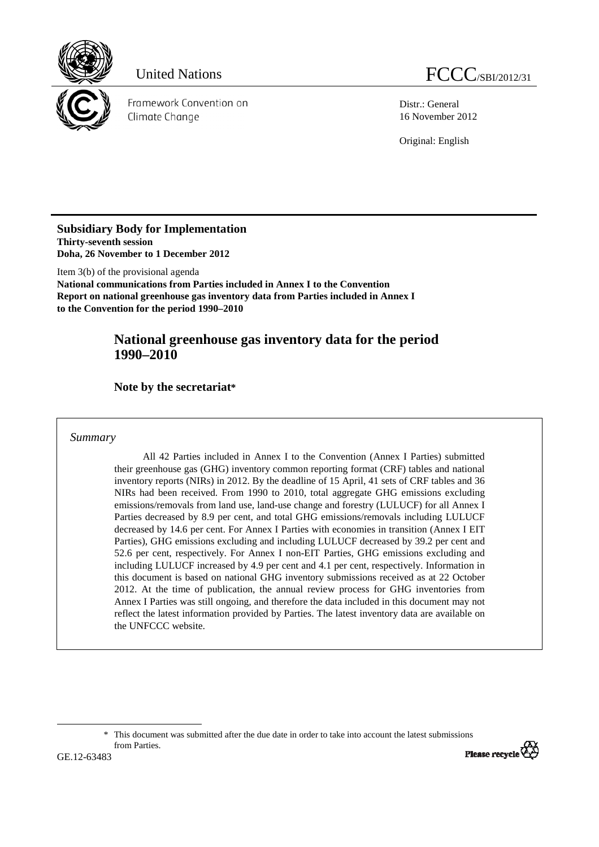

Distr.: General 16 November 2012

Original: English

**Subsidiary Body for Implementation Thirty-seventh session Doha, 26 November to 1 December 2012** 

Item 3(b) of the provisional agenda **National communications from Parties included in Annex I to the Convention Report on national greenhouse gas inventory data from Parties included in Annex I to the Convention for the period 1990–2010** 

# **National greenhouse gas inventory data for the period 1990–2010**

 **Note by the secretariat\***

*Summary* 

All 42 Parties included in Annex I to the Convention (Annex I Parties) submitted their greenhouse gas (GHG) inventory common reporting format (CRF) tables and national inventory reports (NIRs) in 2012. By the deadline of 15 April, 41 sets of CRF tables and 36 NIRs had been received. From 1990 to 2010, total aggregate GHG emissions excluding emissions/removals from land use, land-use change and forestry (LULUCF) for all Annex I Parties decreased by 8.9 per cent, and total GHG emissions/removals including LULUCF decreased by 14.6 per cent. For Annex I Parties with economies in transition (Annex I EIT Parties), GHG emissions excluding and including LULUCF decreased by 39.2 per cent and 52.6 per cent, respectively. For Annex I non-EIT Parties, GHG emissions excluding and including LULUCF increased by 4.9 per cent and 4.1 per cent, respectively. Information in this document is based on national GHG inventory submissions received as at 22 October 2012. At the time of publication, the annual review process for GHG inventories from Annex I Parties was still ongoing, and therefore the data included in this document may not reflect the latest information provided by Parties. The latest inventory data are available on the UNFCCC website.

 <sup>\*</sup> This document was submitted after the due date in order to take into account the latest submissions from Parties.



 $\overline{a}$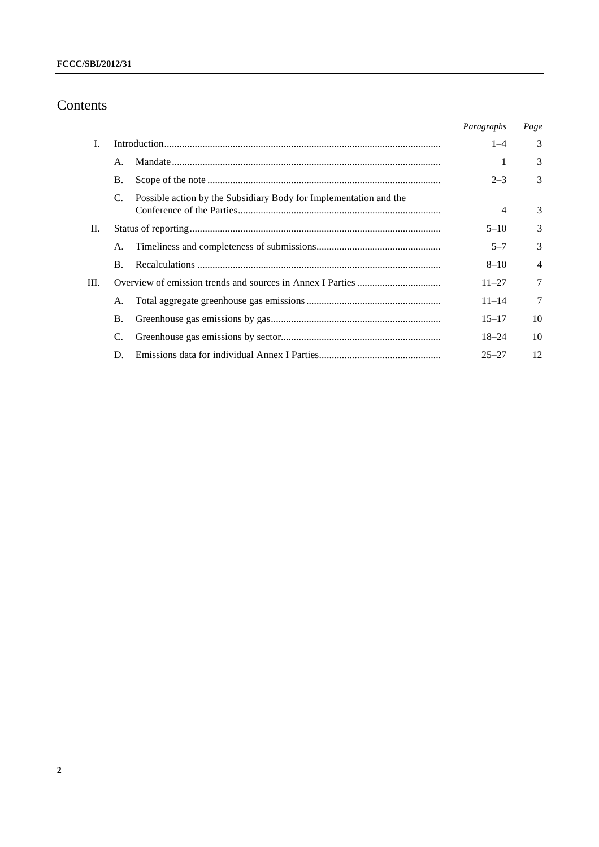# Contents

|    |                |                                                                   | Paragraphs | Page           |
|----|----------------|-------------------------------------------------------------------|------------|----------------|
| L. |                |                                                                   | $1 - 4$    | 3              |
|    | $\mathsf{A}$ . |                                                                   |            | 3              |
|    | <b>B.</b>      |                                                                   | $2 - 3$    | 3              |
|    | C.             | Possible action by the Subsidiary Body for Implementation and the | 4          | 3              |
| П. |                |                                                                   | $5 - 10$   | 3              |
|    | А.             |                                                                   | $5 - 7$    | 3              |
|    | $\bf{B}$ .     |                                                                   | $8 - 10$   | $\overline{4}$ |
| Ш. |                |                                                                   | $11 - 27$  | 7              |
|    | А.             |                                                                   | $11 - 14$  | 7              |
|    | B.             |                                                                   | $15 - 17$  | 10             |
|    | C.             |                                                                   | $18 - 24$  | 10             |
|    | D.             |                                                                   | $25 - 27$  | 12             |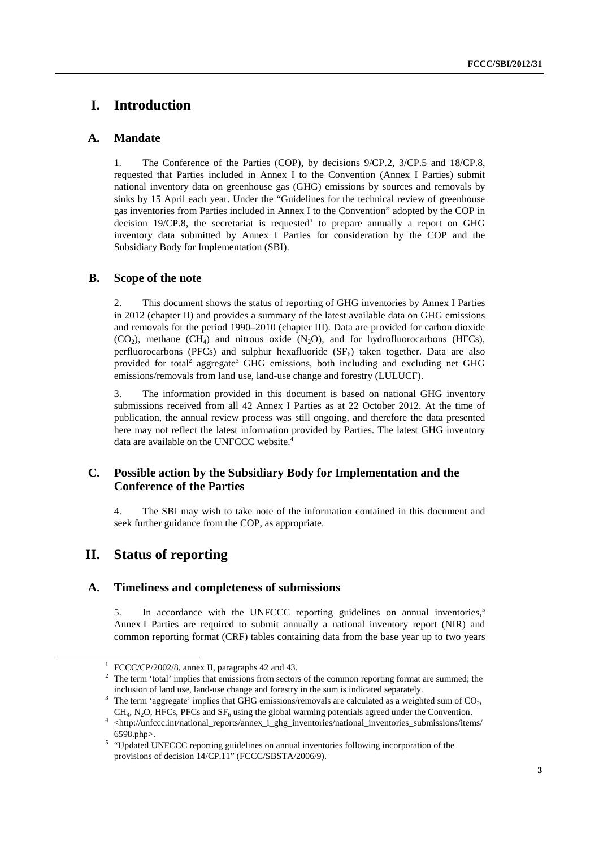## **I. Introduction**

## **A. Mandate**

1. The Conference of the Parties (COP), by decisions 9/CP.2, 3/CP.5 and 18/CP.8, requested that Parties included in Annex I to the Convention (Annex I Parties) submit national inventory data on greenhouse gas (GHG) emissions by sources and removals by sinks by 15 April each year. Under the "Guidelines for the technical review of greenhouse gas inventories from Parties included in Annex I to the Convention" adopted by the COP in decision 19/CP.8, the secretariat is requested to prepare annually a report on GHG inventory data submitted by Annex I Parties for consideration by the COP and the Subsidiary Body for Implementation (SBI).

## **B. Scope of the note**

2. This document shows the status of reporting of GHG inventories by Annex I Parties in 2012 (chapter II) and provides a summary of the latest available data on GHG emissions and removals for the period 1990–2010 (chapter III). Data are provided for carbon dioxide  $(CO<sub>2</sub>)$ , methane  $(CH<sub>4</sub>)$  and nitrous oxide  $(N<sub>2</sub>O)$ , and for hydrofluorocarbons (HFCs), perfluorocarbons (PFCs) and sulphur hexafluoride  $(SF_6)$  taken together. Data are also provided for total<sup>2</sup> aggregate<sup>3</sup> GHG emissions, both including and excluding net GHG emissions/removals from land use, land-use change and forestry (LULUCF).

3. The information provided in this document is based on national GHG inventory submissions received from all 42 Annex I Parties as at 22 October 2012. At the time of publication, the annual review process was still ongoing, and therefore the data presented here may not reflect the latest information provided by Parties. The latest GHG inventory data are available on the UNFCCC website.<sup>4</sup>

## **C. Possible action by the Subsidiary Body for Implementation and the Conference of the Parties**

4. The SBI may wish to take note of the information contained in this document and seek further guidance from the COP, as appropriate.

## **II. Status of reporting**

## **A. Timeliness and completeness of submissions**

5. In accordance with the UNFCCC reporting guidelines on annual inventories.<sup>5</sup> Annex I Parties are required to submit annually a national inventory report (NIR) and common reporting format (CRF) tables containing data from the base year up to two years

<sup>&</sup>lt;u>1</u> <sup>1</sup> FCCC/CP/2002/8, annex II, paragraphs 42 and 43.

 $2$  The term 'total' implies that emissions from sectors of the common reporting format are summed; the inclusion of land use, land-use change and forestry in the sum is indicated separately. 3

The term 'aggregate' implies that GHG emissions/removals are calculated as a weighted sum of  $CO<sub>2</sub>$ ,

 $CH_4$ , N<sub>2</sub>O, HFCs, PFCs and SF<sub>6</sub> using the global warming potentials agreed under the Convention.<br>
<sup>4</sup> <http://unfccc.int/national\_reports/annex\_i\_ghg\_inventories/national\_inventories\_submissions/items/

<sup>6598.</sup>php>. 5 "Updated UNFCCC reporting guidelines on annual inventories following incorporation of the provisions of decision 14/CP.11" (FCCC/SBSTA/2006/9).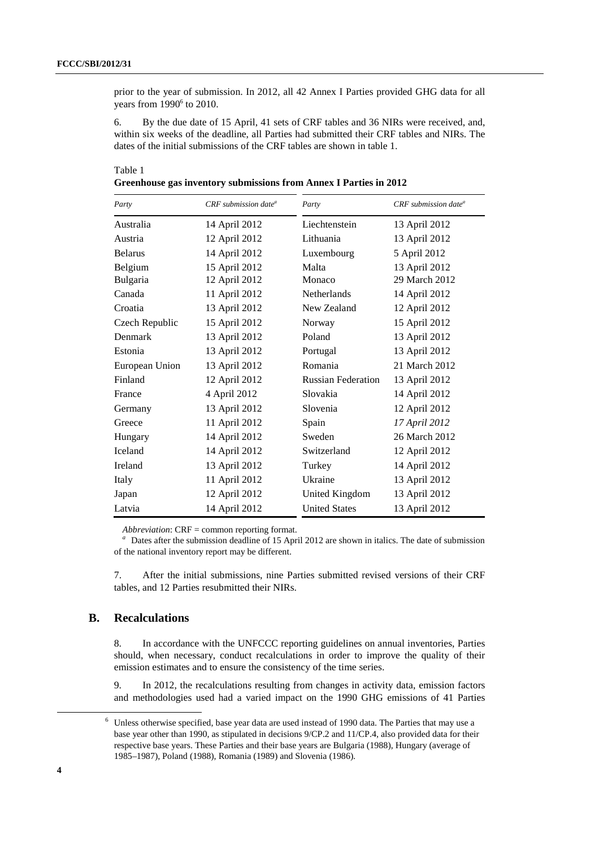prior to the year of submission. In 2012, all 42 Annex I Parties provided GHG data for all years from  $1990<sup>6</sup>$  to 2010.

6. By the due date of 15 April, 41 sets of CRF tables and 36 NIRs were received, and, within six weeks of the deadline, all Parties had submitted their CRF tables and NIRs. The dates of the initial submissions of the CRF tables are shown in table 1.

| Greenhouse gas inventory submissions from Annex I Parties in 2012 |  |  |  |
|-------------------------------------------------------------------|--|--|--|
|                                                                   |  |  |  |

| Party          | CRF submission date <sup>a</sup> | Party                     | CRF submission date <sup>a</sup> |
|----------------|----------------------------------|---------------------------|----------------------------------|
| Australia      | 14 April 2012                    | Liechtenstein             | 13 April 2012                    |
| Austria        | 12 April 2012                    | Lithuania                 | 13 April 2012                    |
| <b>Belarus</b> | 14 April 2012                    | Luxembourg                | 5 April 2012                     |
| Belgium        | 15 April 2012                    | Malta                     | 13 April 2012                    |
| Bulgaria       | 12 April 2012                    | Monaco                    | 29 March 2012                    |
| Canada         | 11 April 2012                    | Netherlands               | 14 April 2012                    |
| Croatia        | 13 April 2012                    | New Zealand               | 12 April 2012                    |
| Czech Republic | 15 April 2012                    | Norway                    | 15 April 2012                    |
| Denmark        | 13 April 2012                    | Poland                    | 13 April 2012                    |
| Estonia        | 13 April 2012                    | Portugal                  | 13 April 2012                    |
| European Union | 13 April 2012                    | Romania                   | 21 March 2012                    |
| Finland        | 12 April 2012                    | <b>Russian Federation</b> | 13 April 2012                    |
| France         | 4 April 2012                     | Slovakia                  | 14 April 2012                    |
| Germany        | 13 April 2012                    | Slovenia                  | 12 April 2012                    |
| Greece         | 11 April 2012                    | Spain                     | 17 April 2012                    |
| Hungary        | 14 April 2012                    | Sweden                    | 26 March 2012                    |
| <b>Iceland</b> | 14 April 2012                    | Switzerland               | 12 April 2012                    |
| Ireland        | 13 April 2012                    | Turkey                    | 14 April 2012                    |
| Italy          | 11 April 2012                    | Ukraine                   | 13 April 2012                    |
| Japan          | 12 April 2012                    | United Kingdom            | 13 April 2012                    |
| Latvia         | 14 April 2012                    | <b>United States</b>      | 13 April 2012                    |

*Abbreviation*: CRF = common reporting format.

<sup>a</sup> Dates after the submission deadline of 15 April 2012 are shown in italics. The date of submission of the national inventory report may be different.

7. After the initial submissions, nine Parties submitted revised versions of their CRF tables, and 12 Parties resubmitted their NIRs.

## **B. Recalculations**

8. In accordance with the UNFCCC reporting guidelines on annual inventories, Parties should, when necessary, conduct recalculations in order to improve the quality of their emission estimates and to ensure the consistency of the time series.

9. In 2012, the recalculations resulting from changes in activity data, emission factors and methodologies used had a varied impact on the 1990 GHG emissions of 41 Parties

 <sup>6</sup> <sup>6</sup> Unless otherwise specified, base year data are used instead of 1990 data. The Parties that may use a base year other than 1990, as stipulated in decisions 9/CP.2 and 11/CP.4, also provided data for their respective base years. These Parties and their base years are Bulgaria (1988), Hungary (average of 1985–1987), Poland (1988), Romania (1989) and Slovenia (1986).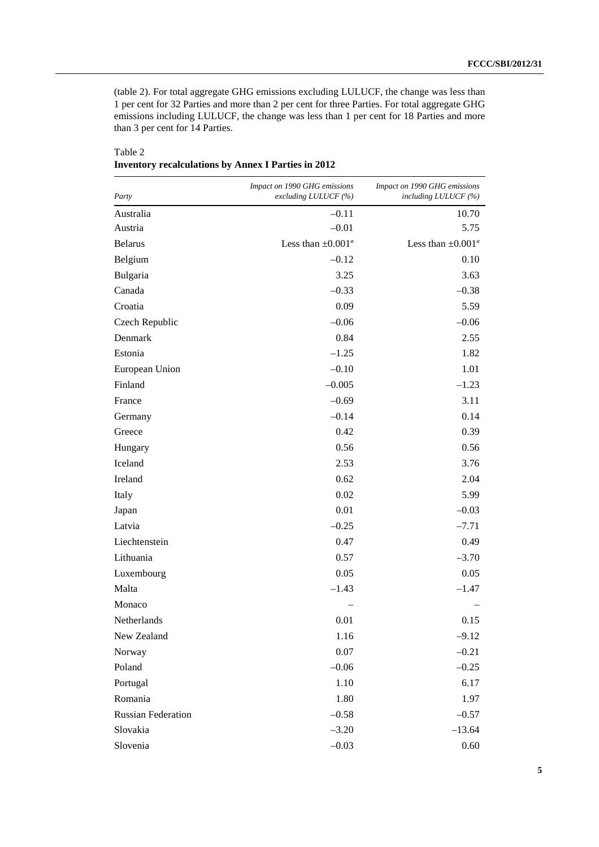(table 2). For total aggregate GHG emissions excluding LULUCF, the change was less than 1 per cent for 32 Parties and more than 2 per cent for three Parties. For total aggregate GHG emissions including LULUCF, the change was less than 1 per cent for 18 Parties and more than 3 per cent for 14 Parties.

| Party                     | Impact on 1990 GHG emissions<br>excluding LULUCF (%) | Impact on 1990 GHG emissions<br>including LULUCF (%) |
|---------------------------|------------------------------------------------------|------------------------------------------------------|
| Australia                 | $-0.11$                                              | 10.70                                                |
| Austria                   | $-0.01$                                              | 5.75                                                 |
| <b>Belarus</b>            | Less than $\pm 0.001^{\circ}$                        | Less than $\pm 0.001^a$                              |
| Belgium                   | $-0.12$                                              | 0.10                                                 |
| Bulgaria                  | 3.25                                                 | 3.63                                                 |
| Canada                    | $-0.33$                                              | $-0.38$                                              |
| Croatia                   | 0.09                                                 | 5.59                                                 |
| Czech Republic            | $-0.06$                                              | $-0.06$                                              |
| Denmark                   | 0.84                                                 | 2.55                                                 |
| Estonia                   | $-1.25$                                              | 1.82                                                 |
| European Union            | $-0.10$                                              | 1.01                                                 |
| Finland                   | $-0.005$                                             | $-1.23$                                              |
| France                    | $-0.69$                                              | 3.11                                                 |
| Germany                   | $-0.14$                                              | 0.14                                                 |
| Greece                    | 0.42                                                 | 0.39                                                 |
| Hungary                   | 0.56                                                 | 0.56                                                 |
| Iceland                   | 2.53                                                 | 3.76                                                 |
| Ireland                   | 0.62                                                 | 2.04                                                 |
| Italy                     | 0.02                                                 | 5.99                                                 |
| Japan                     | 0.01                                                 | $-0.03$                                              |
| Latvia                    | $-0.25$                                              | $-7.71$                                              |
| Liechtenstein             | 0.47                                                 | 0.49                                                 |
| Lithuania                 | 0.57                                                 | $-3.70$                                              |
| Luxembourg                | 0.05                                                 | 0.05                                                 |
| Malta                     | $-1.43$                                              | $-1.47$                                              |
| Monaco                    |                                                      |                                                      |
| Netherlands               | 0.01                                                 | 0.15                                                 |
| New Zealand               | 1.16                                                 | $-9.12$                                              |
| Norway                    | 0.07                                                 | $-0.21$                                              |
| Poland                    | $-0.06$                                              | $-0.25$                                              |
| Portugal                  | 1.10                                                 | 6.17                                                 |
| Romania                   | 1.80                                                 | 1.97                                                 |
| <b>Russian Federation</b> | $-0.58$                                              | $-0.57$                                              |
| Slovakia                  | $-3.20$                                              | $-13.64$                                             |
| Slovenia                  | $-0.03$                                              | 0.60                                                 |

Table 2 **Inventory recalculations by Annex I Parties in 2012**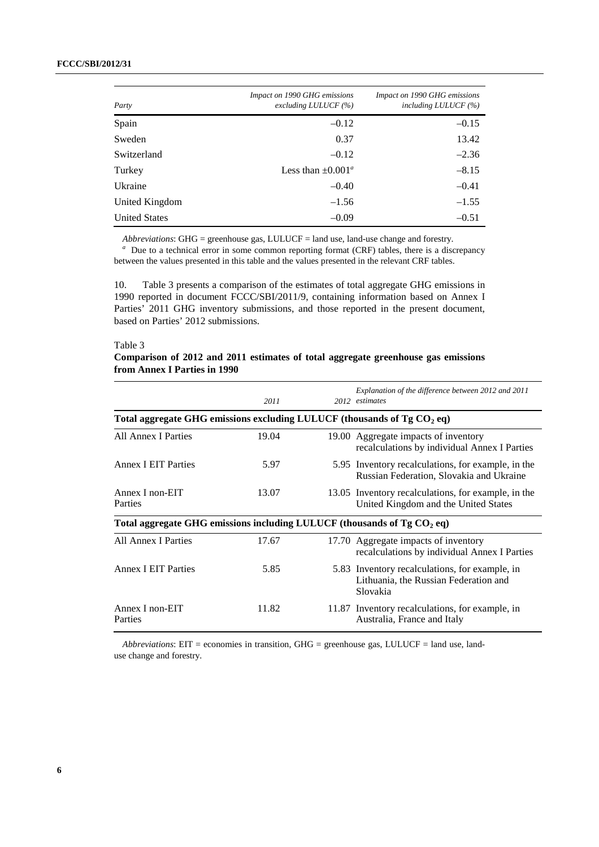#### **FCCC/SBI/2012/31**

| Party                | Impact on 1990 GHG emissions<br>excluding LULUCF $(%)$ | Impact on 1990 GHG emissions<br>including $LULUCF$ (%) |
|----------------------|--------------------------------------------------------|--------------------------------------------------------|
| Spain                | $-0.12$                                                | $-0.15$                                                |
| Sweden               | 0.37                                                   | 13.42                                                  |
| Switzerland          | $-0.12$                                                | $-2.36$                                                |
| Turkey               | Less than $\pm 0.001^a$                                | $-8.15$                                                |
| Ukraine              | $-0.40$                                                | $-0.41$                                                |
| United Kingdom       | $-1.56$                                                | $-1.55$                                                |
| <b>United States</b> | $-0.09$                                                | $-0.51$                                                |

*Abbreviations*: GHG = greenhouse gas, LULUCF = land use, land-use change and forestry.

<sup>a</sup> Due to a technical error in some common reporting format (CRF) tables, there is a discrepancy between the values presented in this table and the values presented in the relevant CRF tables.

10. Table 3 presents a comparison of the estimates of total aggregate GHG emissions in 1990 reported in document FCCC/SBI/2011/9, containing information based on Annex I Parties' 2011 GHG inventory submissions, and those reported in the present document, based on Parties' 2012 submissions.

#### Table 3

## **Comparison of 2012 and 2011 estimates of total aggregate greenhouse gas emissions from Annex I Parties in 1990**

|                                                                           | 2011  |  | Explanation of the difference between 2012 and 2011<br>2012 estimates                               |  |  |  |  |  |
|---------------------------------------------------------------------------|-------|--|-----------------------------------------------------------------------------------------------------|--|--|--|--|--|
| Total aggregate GHG emissions excluding LULUCF (thousands of Tg $CO2$ eq) |       |  |                                                                                                     |  |  |  |  |  |
| <b>All Annex I Parties</b>                                                | 19.04 |  | 19.00 Aggregate impacts of inventory<br>recalculations by individual Annex I Parties                |  |  |  |  |  |
| <b>Annex I EIT Parties</b>                                                | 5.97  |  | 5.95 Inventory recalculations, for example, in the<br>Russian Federation, Slovakia and Ukraine      |  |  |  |  |  |
| Annex I non-EIT<br>Parties                                                | 13.07 |  | 13.05 Inventory recalculations, for example, in the<br>United Kingdom and the United States         |  |  |  |  |  |
| Total aggregate GHG emissions including LULUCF (thousands of Tg $CO2$ eq) |       |  |                                                                                                     |  |  |  |  |  |
| All Annex I Parties                                                       | 17.67 |  | 17.70 Aggregate impacts of inventory<br>recalculations by individual Annex I Parties                |  |  |  |  |  |
| <b>Annex I EIT Parties</b>                                                | 5.85  |  | 5.83 Inventory recalculations, for example, in<br>Lithuania, the Russian Federation and<br>Slovakia |  |  |  |  |  |
| Annex I non-EIT<br>Parties                                                | 11.82 |  | 11.87 Inventory recalculations, for example, in<br>Australia, France and Italy                      |  |  |  |  |  |

*Abbreviations*: EIT = economies in transition, GHG = greenhouse gas, LULUCF = land use, landuse change and forestry.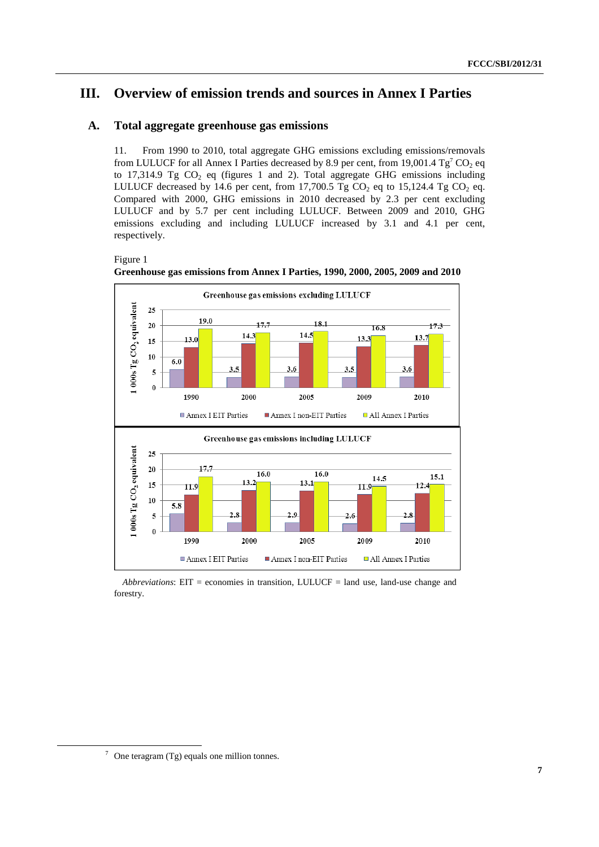# **III. Overview of emission trends and sources in Annex I Parties**

## **A. Total aggregate greenhouse gas emissions**

11. From 1990 to 2010, total aggregate GHG emissions excluding emissions/removals from LULUCF for all Annex I Parties decreased by 8.9 per cent, from 19,001.4  $Tg^7CO_2$  eq to 17,314.9 Tg  $CO<sub>2</sub>$  eq (figures 1 and 2). Total aggregate GHG emissions including LULUCF decreased by 14.6 per cent, from 17,700.5 Tg CO<sub>2</sub> eq to 15,124.4 Tg CO<sub>2</sub> eq. Compared with 2000, GHG emissions in 2010 decreased by 2.3 per cent excluding LULUCF and by 5.7 per cent including LULUCF. Between 2009 and 2010, GHG emissions excluding and including LULUCF increased by 3.1 and 4.1 per cent, respectively.

Figure 1





*Abbreviations*: EIT = economies in transition, LULUCF = land use, land-use change and forestry.

 <sup>7</sup>  $\frac{7}{1}$  One teragram (Tg) equals one million tonnes.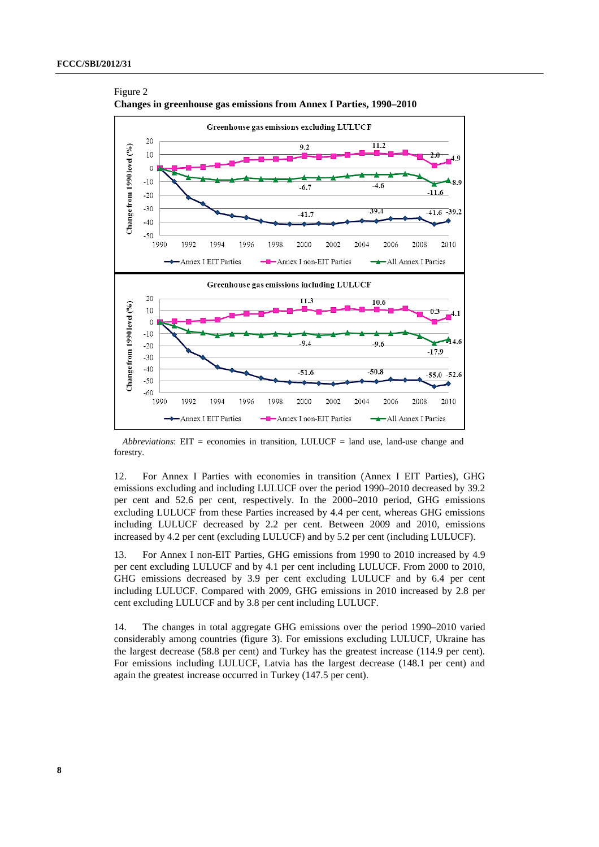Figure 2



**Changes in greenhouse gas emissions from Annex I Parties, 1990–2010** 

*Abbreviations*: EIT = economies in transition, LULUCF = land use, land-use change and forestry.

12. For Annex I Parties with economies in transition (Annex I EIT Parties), GHG emissions excluding and including LULUCF over the period 1990–2010 decreased by 39.2 per cent and 52.6 per cent, respectively. In the 2000–2010 period, GHG emissions excluding LULUCF from these Parties increased by 4.4 per cent, whereas GHG emissions including LULUCF decreased by 2.2 per cent. Between 2009 and 2010, emissions increased by 4.2 per cent (excluding LULUCF) and by 5.2 per cent (including LULUCF).

13. For Annex I non-EIT Parties, GHG emissions from 1990 to 2010 increased by 4.9 per cent excluding LULUCF and by 4.1 per cent including LULUCF. From 2000 to 2010, GHG emissions decreased by 3.9 per cent excluding LULUCF and by 6.4 per cent including LULUCF. Compared with 2009, GHG emissions in 2010 increased by 2.8 per cent excluding LULUCF and by 3.8 per cent including LULUCF.

14. The changes in total aggregate GHG emissions over the period 1990–2010 varied considerably among countries (figure 3). For emissions excluding LULUCF, Ukraine has the largest decrease (58.8 per cent) and Turkey has the greatest increase (114.9 per cent). For emissions including LULUCF, Latvia has the largest decrease (148.1 per cent) and again the greatest increase occurred in Turkey (147.5 per cent).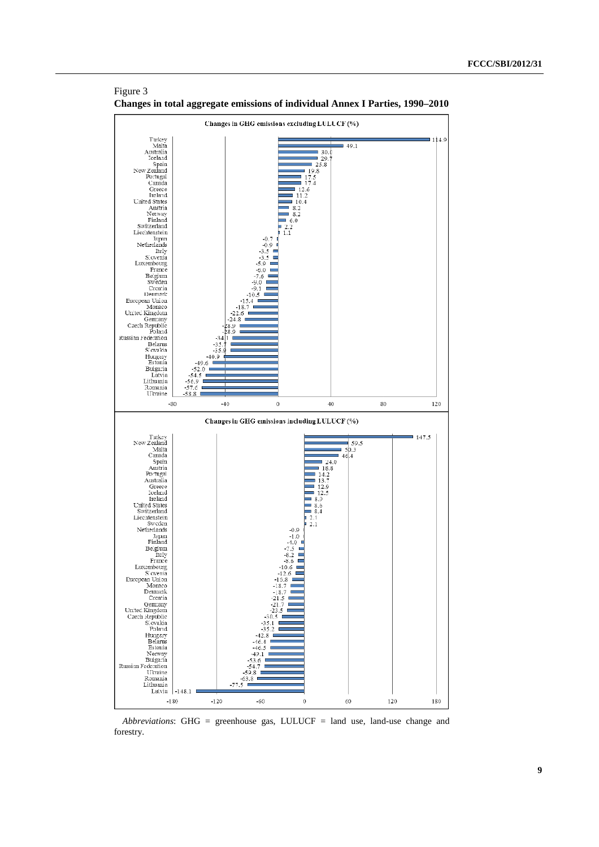

Figure 3 **Changes in total aggregate emissions of individual Annex I Parties, 1990–2010** 

*Abbreviations*: GHG = greenhouse gas, LULUCF = land use, land-use change and forestry.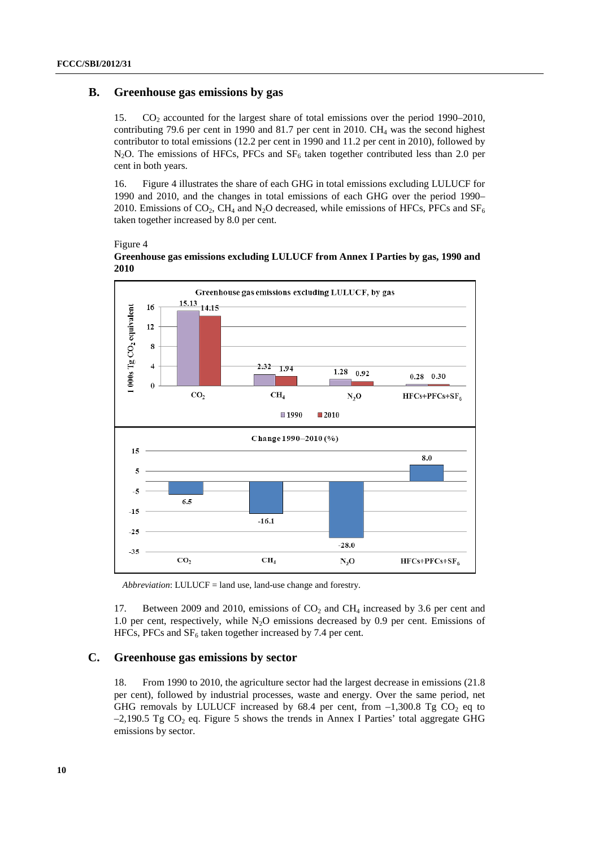## **B. Greenhouse gas emissions by gas**

15. CO2 accounted for the largest share of total emissions over the period 1990–2010, contributing 79.6 per cent in 1990 and 81.7 per cent in 2010.  $CH<sub>4</sub>$  was the second highest contributor to total emissions (12.2 per cent in 1990 and 11.2 per cent in 2010), followed by N<sub>2</sub>O. The emissions of HFCs, PFCs and  $SF<sub>6</sub>$  taken together contributed less than 2.0 per cent in both years.

16. Figure 4 illustrates the share of each GHG in total emissions excluding LULUCF for 1990 and 2010, and the changes in total emissions of each GHG over the period 1990– 2010. Emissions of CO<sub>2</sub>, CH<sub>4</sub> and N<sub>2</sub>O decreased, while emissions of HFCs, PFCs and SF<sub>6</sub> taken together increased by 8.0 per cent.

Figure 4





*Abbreviation*: LULUCF = land use, land-use change and forestry.

17. Between 2009 and 2010, emissions of  $CO<sub>2</sub>$  and  $CH<sub>4</sub>$  increased by 3.6 per cent and 1.0 per cent, respectively, while  $N_2O$  emissions decreased by 0.9 per cent. Emissions of HFCs, PFCs and  $SF_6$  taken together increased by 7.4 per cent.

## **C. Greenhouse gas emissions by sector**

18. From 1990 to 2010, the agriculture sector had the largest decrease in emissions (21.8 per cent), followed by industrial processes, waste and energy. Over the same period, net GHG removals by LULUCF increased by 68.4 per cent, from  $-1,300.8$  Tg CO<sub>2</sub> eq to  $-2,190.5$  Tg CO<sub>2</sub> eq. Figure 5 shows the trends in Annex I Parties' total aggregate GHG emissions by sector.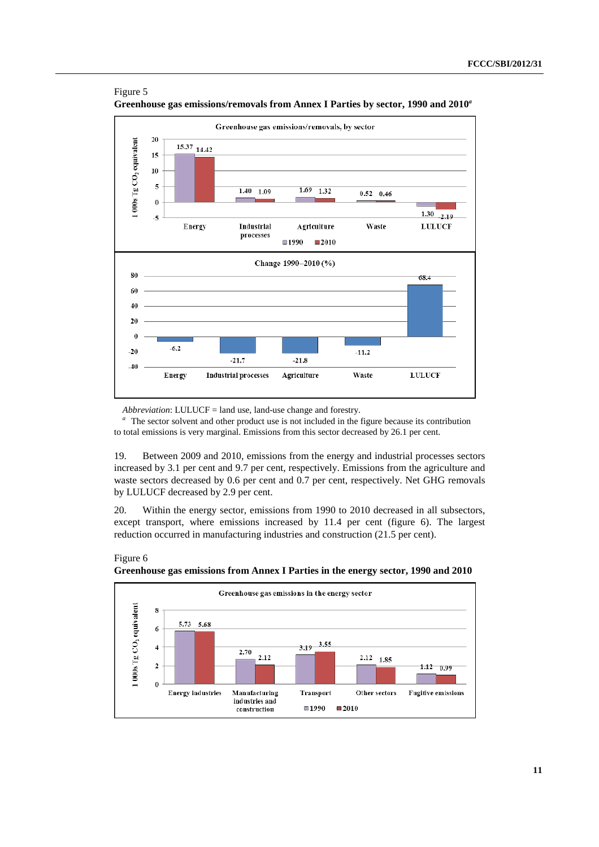

Figure 5 **Greenhouse gas emissions/removals from Annex I Parties by sector, 1990 and 2010***<sup>a</sup>*

*Abbreviation*: LULUCF = land use, land-use change and forestry.

Figure 6

*<sup>a</sup>*The sector solvent and other product use is not included in the figure because its contribution to total emissions is very marginal. Emissions from this sector decreased by 26.1 per cent.

19. Between 2009 and 2010, emissions from the energy and industrial processes sectors increased by 3.1 per cent and 9.7 per cent, respectively. Emissions from the agriculture and waste sectors decreased by 0.6 per cent and 0.7 per cent, respectively. Net GHG removals by LULUCF decreased by 2.9 per cent.

20. Within the energy sector, emissions from 1990 to 2010 decreased in all subsectors, except transport, where emissions increased by 11.4 per cent (figure 6). The largest reduction occurred in manufacturing industries and construction (21.5 per cent).



**Greenhouse gas emissions from Annex I Parties in the energy sector, 1990 and 2010**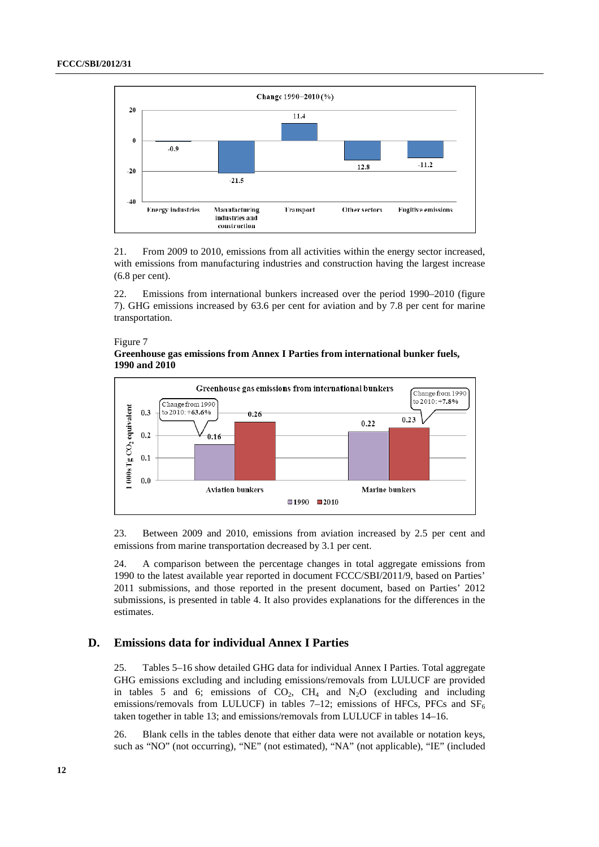

21. From 2009 to 2010, emissions from all activities within the energy sector increased, with emissions from manufacturing industries and construction having the largest increase (6.8 per cent).

22. Emissions from international bunkers increased over the period 1990–2010 (figure 7). GHG emissions increased by 63.6 per cent for aviation and by 7.8 per cent for marine transportation.

#### Figure 7

#### **Greenhouse gas emissions from Annex I Parties from international bunker fuels, 1990 and 2010**



23. Between 2009 and 2010, emissions from aviation increased by 2.5 per cent and emissions from marine transportation decreased by 3.1 per cent.

24. A comparison between the percentage changes in total aggregate emissions from 1990 to the latest available year reported in document FCCC/SBI/2011/9, based on Parties' 2011 submissions, and those reported in the present document, based on Parties' 2012 submissions, is presented in table 4. It also provides explanations for the differences in the estimates.

## **D. Emissions data for individual Annex I Parties**

25. Tables 5–16 show detailed GHG data for individual Annex I Parties. Total aggregate GHG emissions excluding and including emissions/removals from LULUCF are provided in tables 5 and 6; emissions of  $CO<sub>2</sub>$ ,  $CH<sub>4</sub>$  and  $N<sub>2</sub>O$  (excluding and including emissions/removals from LULUCF) in tables 7–12; emissions of HFCs, PFCs and  $SF<sub>6</sub>$ taken together in table 13; and emissions/removals from LULUCF in tables 14–16.

26. Blank cells in the tables denote that either data were not available or notation keys, such as "NO" (not occurring), "NE" (not estimated), "NA" (not applicable), "IE" (included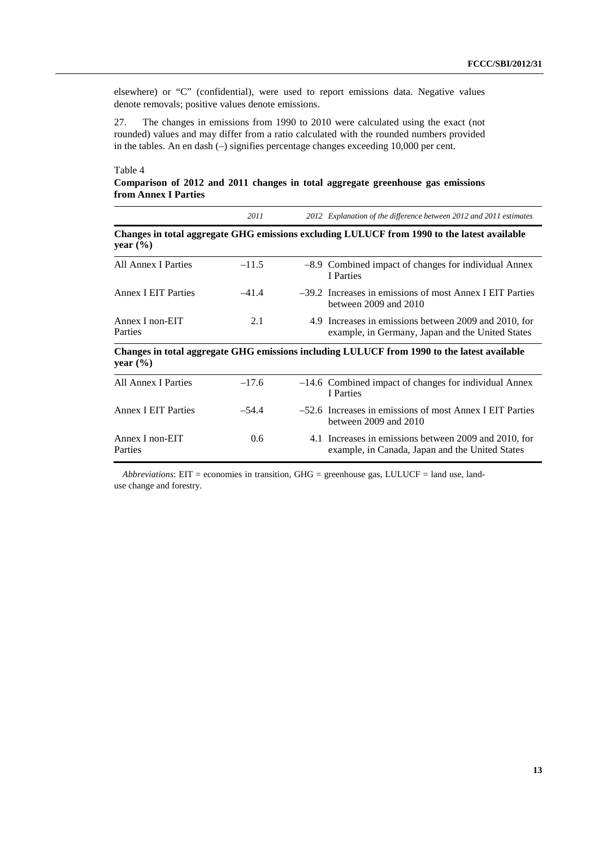elsewhere) or "C" (confidential), were used to report emissions data. Negative values denote removals; positive values denote emissions.

27. The changes in emissions from 1990 to 2010 were calculated using the exact (not rounded) values and may differ from a ratio calculated with the rounded numbers provided in the tables. An en dash (–) signifies percentage changes exceeding 10,000 per cent.

### Table 4

**Comparison of 2012 and 2011 changes in total aggregate greenhouse gas emissions from Annex I Parties** 

|                            | 2011    | 2012 Explanation of the difference between 2012 and 2011 estimates                                        |
|----------------------------|---------|-----------------------------------------------------------------------------------------------------------|
| year $(\% )$               |         | Changes in total aggregate GHG emissions excluding LULUCF from 1990 to the latest available               |
| All Annex I Parties        | $-11.5$ | -8.9 Combined impact of changes for individual Annex<br>I Parties                                         |
| <b>Annex I EIT Parties</b> | $-41.4$ | $-39.2$ Increases in emissions of most Annex I EIT Parties<br>between $2009$ and $2010$                   |
| Annex I non-EIT<br>Parties | 2.1     | 4.9 Increases in emissions between 2009 and 2010, for<br>example, in Germany, Japan and the United States |
| year $(\% )$               |         | Changes in total aggregate GHG emissions including LULUCF from 1990 to the latest available               |
| <b>All Annex I Parties</b> | $-17.6$ | $-14.6$ Combined impact of changes for individual Annex<br>I Parties                                      |
| <b>Annex I EIT Parties</b> | $-54.4$ | $-52.6$ Increases in emissions of most Annex I EIT Parties<br>between $2009$ and $2010$                   |
| Annex I non-EIT<br>Parties | 0.6     | 4.1 Increases in emissions between 2009 and 2010, for<br>example, in Canada, Japan and the United States  |

*Abbreviations*: EIT = economies in transition, GHG = greenhouse gas, LULUCF = land use, landuse change and forestry.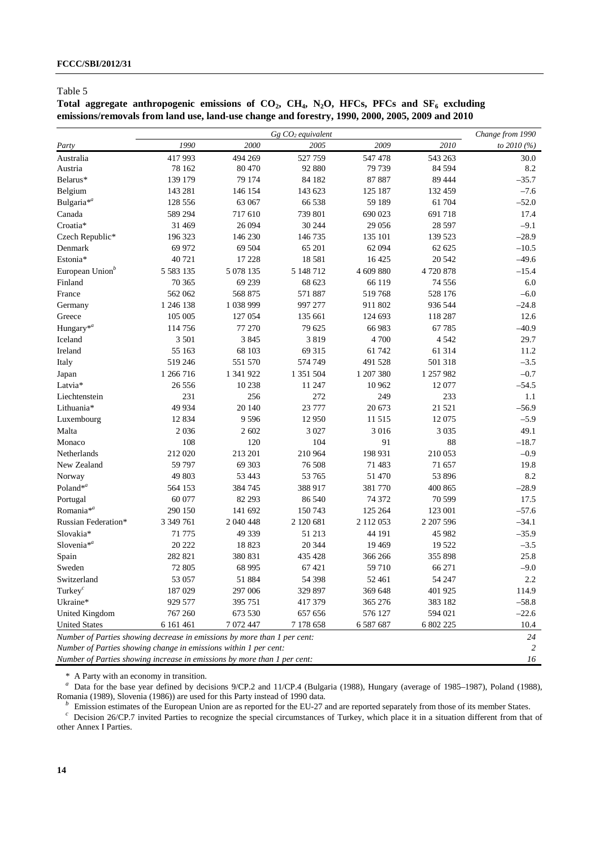Total aggregate anthropogenic emissions of CO<sub>2</sub>, CH<sub>4</sub>, N<sub>2</sub>O, HFCs, PFCs and SF<sub>6</sub> excluding **emissions/removals from land use, land-use change and forestry, 1990, 2000, 2005, 2009 and 2010** 

|                                                                          |               |           | $Gg$ $CO2$ equivalent |           |           | Change from 1990 |  |  |
|--------------------------------------------------------------------------|---------------|-----------|-----------------------|-----------|-----------|------------------|--|--|
| Party                                                                    | 1990          | 2000      | 2005                  | 2009      | 2010      | to 2010 (%)      |  |  |
| Australia                                                                | 417 993       | 494 269   | 527 759               | 547 478   | 543 263   | 30.0             |  |  |
| Austria                                                                  | 78 162        | 80 470    | 92 880                | 79 739    | 84 5 94   | 8.2              |  |  |
| Belarus*                                                                 | 139 179       | 79 174    | 84 182                | 87 887    | 89 444    | $-35.7$          |  |  |
| Belgium                                                                  | 143 281       | 146 154   | 143 623               | 125 187   | 132 459   | $-7.6$           |  |  |
| Bulgaria <sup>*a</sup>                                                   | 128 556       | 63 067    | 66 538                | 59 189    | 61 704    | $-52.0$          |  |  |
| Canada                                                                   | 589 294       | 717 610   | 739 801               | 690 023   | 691 718   | 17.4             |  |  |
| Croatia*                                                                 | 31 4 69       | 26 094    | 30 244                | 29 05 6   | 28 5 97   | $-9.1$           |  |  |
| Czech Republic*                                                          | 196 323       | 146 230   | 146 735               | 135 101   | 139 523   | $-28.9$          |  |  |
| Denmark                                                                  | 69 972        | 69 504    | 65 201                | 62 094    | 62 625    | $-10.5$          |  |  |
| Estonia*                                                                 | 40721         | 17 228    | 18581                 | 16 4 25   | 20 542    | $-49.6$          |  |  |
| European Union <sup>b</sup>                                              | 5 5 8 3 1 3 5 | 5 078 135 | 5 148 712             | 4 609 880 | 4720878   | $-15.4$          |  |  |
| Finland                                                                  | 70 365        | 69 239    | 68 623                | 66 119    | 74 5 5 6  | 6.0              |  |  |
| France                                                                   | 562 062       | 568 875   | 571887                | 519768    | 528 176   | $-6.0$           |  |  |
| Germany                                                                  | 1 246 138     | 1 038 999 | 997 277               | 911 802   | 936 544   | $-24.8$          |  |  |
| Greece                                                                   | 105 005       | 127 054   | 135 661               | 124 693   | 118 287   | 12.6             |  |  |
| Hungary <sup>*a</sup>                                                    | 114756        | 77 270    | 79 625                | 66 983    | 67785     | $-40.9$          |  |  |
| Iceland                                                                  | 3 5 0 1       | 3 8 4 5   | 3819                  | 4 700     | 4 5 4 2   | 29.7             |  |  |
| Ireland                                                                  | 55 163        | 68 103    | 69 31 5               | 61 742    | 61 314    | 11.2             |  |  |
| Italy                                                                    | 519 246       | 551 570   | 574 749               | 491 528   | 501 318   | $-3.5$           |  |  |
| Japan                                                                    | 1 266 716     | 1 341 922 | 1 351 504             | 1 207 380 | 1 257 982 | $-0.7$           |  |  |
| Latvia*                                                                  | 26 55 6       | 10 238    | 11 247                | 10 962    | 12 077    | $-54.5$          |  |  |
| Liechtenstein                                                            | 231           | 256       | 272                   | 249       | 233       | 1.1              |  |  |
| Lithuania*                                                               | 49 9 34       | 20 140    | 23 777                | 20 673    | 21 5 21   | $-56.9$          |  |  |
| Luxembourg                                                               | 12 8 34       | 9 5 9 6   | 12950                 | 11 515    | 12075     | $-5.9$           |  |  |
| Malta                                                                    | 2036          | 2 602     | 3 0 2 7               | 3 0 1 6   | 3 0 3 5   | 49.1             |  |  |
| Monaco                                                                   | 108           | 120       | 104                   | 91        | 88        | $-18.7$          |  |  |
| Netherlands                                                              | 212 020       | 213 201   | 210 964               | 198 931   | 210 053   | $-0.9$           |  |  |
| New Zealand                                                              | 59 797        | 69 30 3   | 76 508                | 71 483    | 71 657    | 19.8             |  |  |
| Norway                                                                   | 49 803        | 53 443    | 53 765                | 51 470    | 53 896    | 8.2              |  |  |
| Poland* $a$                                                              | 564 153       | 384 745   | 388 917               | 381 770   | 400 865   | $-28.9$          |  |  |
| Portugal                                                                 | 60 077        | 82 293    | 86 540                | 74 372    | 70 599    | 17.5             |  |  |
| Romania <sup>*a</sup>                                                    | 290 150       | 141 692   | 150743                | 125 264   | 123 001   | $-57.6$          |  |  |
| Russian Federation*                                                      | 3 349 761     | 2 040 448 | 2 120 681             | 2 112 053 | 2 207 596 | $-34.1$          |  |  |
| Slovakia*                                                                | 71 775        | 49 339    | 51 213                | 44 191    | 45 982    | $-35.9$          |  |  |
| Slovenia <sup>*a</sup>                                                   | 20 22 2       | 18823     | 20 344                | 19 4 69   | 19522     | $-3.5$           |  |  |
| Spain                                                                    | 282 821       | 380 831   | 435 428               | 366 266   | 355 898   | 25.8             |  |  |
| Sweden                                                                   | 72 805        | 68 995    | 67421                 | 59 710    | 66 271    | $-9.0$           |  |  |
| Switzerland                                                              | 53 057        | 51 884    | 54 398                | 52 461    | 54 247    | $2.2\,$          |  |  |
| Turkey $^c$                                                              | 187029        | 297 006   | 329 897               | 369 648   | 401 925   | 114.9            |  |  |
| Ukraine*                                                                 | 929 577       | 395 751   | 417 379               | 365 276   | 383 182   | $-58.8$          |  |  |
| United Kingdom                                                           | 767 260       | 673 530   | 657 656               | 576 127   | 594 021   | $-22.6$          |  |  |
| <b>United States</b>                                                     | 6 161 461     | 7 072 447 | 7 178 658             | 6 587 687 | 6 802 225 | 10.4             |  |  |
| Number of Parties showing decrease in emissions by more than 1 per cent: |               |           |                       |           |           | 24               |  |  |
| Number of Parties showing change in emissions within 1 per cent:         |               |           |                       |           |           | 2                |  |  |
| Number of Parties showing increase in emissions by more than 1 per cent: |               |           |                       |           |           |                  |  |  |

\* A Party with an economy in transition.

<sup>a</sup> Data for the base year defined by decisions 9/CP.2 and 11/CP.4 (Bulgaria (1988), Hungary (average of 1985–1987), Poland (1988), Romania (1989), Slovenia (1986)) are used for this Party instead of 1990 data.<br>
<sup>b</sup> Emission estimates of the European Union are as reported for the EU-27 and are reported separately from those of its member States.<br>
<sup>c</sup> D

other Annex I Parties.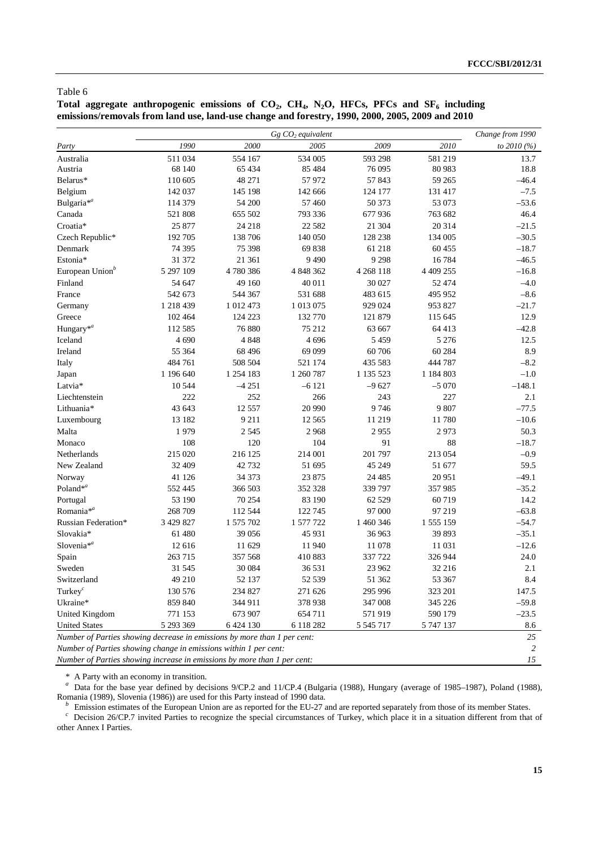Total aggregate anthropogenic emissions of CO<sub>2</sub>, CH<sub>4</sub>, N<sub>2</sub>O, HFCs, PFCs and SF<sub>6</sub> including **emissions/removals from land use, land-use change and forestry, 1990, 2000, 2005, 2009 and 2010** 

|                                                                          |           | Change from 1990 |                               |               |            |              |  |  |
|--------------------------------------------------------------------------|-----------|------------------|-------------------------------|---------------|------------|--------------|--|--|
| Party                                                                    | 1990      | 2000             | $Gg$ $CO2$ equivalent<br>2005 | 2009          | 2010       | to $2010(%)$ |  |  |
| Australia                                                                | 511 034   | 554 167          | 534 005                       | 593 298       | 581 219    | 13.7         |  |  |
| Austria                                                                  | 68 140    | 65 4 34          | 85 4 84                       | 76 095        | 80 983     | 18.8         |  |  |
| Belarus*                                                                 | 110 605   | 48 271           | 57 972                        | 57 843        | 59 265     | $-46.4$      |  |  |
| Belgium                                                                  | 142 037   | 145 198          | 142 666                       | 124 177       | 131 417    | $-7.5$       |  |  |
| Bulgaria <sup>*a</sup>                                                   | 114 379   | 54 200           | 57 460                        | 50 373        | 53 073     | $-53.6$      |  |  |
| Canada                                                                   | 521808    | 655 502          | 793 336                       | 677 936       | 763 682    | 46.4         |  |  |
| Croatia*                                                                 | 25 877    | 24 218           | 22 5 82                       | 21 304        | 20 314     | $-21.5$      |  |  |
| Czech Republic*                                                          | 192 705   | 138 706          | 140 050                       | 128 238       | 134 005    | $-30.5$      |  |  |
| Denmark                                                                  | 74 39 5   | 75 398           | 69838                         | 61 218        | 60 455     | $-18.7$      |  |  |
| Estonia*                                                                 | 31 372    | 21 361           | 9490                          | 9 2 9 8       | 16784      | $-46.5$      |  |  |
| European Union <sup>b</sup>                                              | 5 297 109 | 4 780 386        | 4 848 362                     | 4 268 118     | 4 4 0 25 5 | $-16.8$      |  |  |
| Finland                                                                  | 54 647    | 49 160           | 40 011                        | 30 027        | 52 474     | $-4.0$       |  |  |
| France                                                                   | 542 673   | 544 367          | 531 688                       | 483 615       | 495 952    | $-8.6$       |  |  |
| Germany                                                                  | 1 218 439 | 1 012 473        | 1 013 075                     | 929 024       | 953 827    | $-21.7$      |  |  |
| Greece                                                                   | 102 464   | 124 223          | 132 770                       | 121 879       | 115 645    | 12.9         |  |  |
| Hungary <sup>*a</sup>                                                    | 112585    | 76 880           | 75 212                        | 63 667        | 64 413     | $-42.8$      |  |  |
| Iceland                                                                  | 4 6 9 0   | 4 8 4 8          | 4 6 9 6                       | 5 4 5 9       | 5 2 7 6    | 12.5         |  |  |
| Ireland                                                                  | 55 364    | 68 49 6          | 69 099                        | 60 70 6       | 60 284     | 8.9          |  |  |
| Italy                                                                    | 484761    | 508 504          | 521 174                       | 435 583       | 444 787    | $-8.2$       |  |  |
| Japan                                                                    | 1 196 640 | 1 254 183        | 1 260 787                     | 1 135 523     | 1 184 803  | $-1.0$       |  |  |
| Latvia*                                                                  | 10 544    | $-4251$          | $-6121$                       | $-9627$       | $-5070$    | $-148.1$     |  |  |
| Liechtenstein                                                            | 222       | 252              | 266                           | 243           | 227        | 2.1          |  |  |
| Lithuania*                                                               | 43 643    | 12 5 5 7         | 20 990                        | 9746          | 9 807      | $-77.5$      |  |  |
| Luxembourg                                                               | 13 182    | 9 2 1 1          | 12 5 6 5                      | 11 219        | 11780      | $-10.6$      |  |  |
| Malta                                                                    | 1979      | 2 5 4 5          | 2968                          | 2955          | 2973       | 50.3         |  |  |
| Monaco                                                                   | 108       | 120              | 104                           | 91            | 88         | $-18.7$      |  |  |
| Netherlands                                                              | 215 020   | 216 125          | 214 001                       | 201 797       | 213 054    | $-0.9$       |  |  |
| New Zealand                                                              | 32 409    | 42 732           | 51 695                        | 45 249        | 51 677     | 59.5         |  |  |
| Norway                                                                   | 41 126    | 34 373           | 23 875                        | 24 4 85       | 20951      | $-49.1$      |  |  |
| Poland <sup>*a</sup>                                                     | 552 445   | 366 503          | 352 328                       | 339 797       | 357985     | $-35.2$      |  |  |
| Portugal                                                                 | 53 190    | 70 254           | 83 190                        | 62 5 29       | 60719      | 14.2         |  |  |
| Romania <sup>*a</sup>                                                    | 268 709   | 112 544          | 122 745                       | 97 000        | 97 219     | $-63.8$      |  |  |
| Russian Federation*                                                      | 3 429 827 | 1 575 702        | 1 577 722                     | 1 460 346     | 1 555 159  | $-54.7$      |  |  |
| Slovakia*                                                                | 61 480    | 39 056           | 45 931                        | 36 963        | 39 893     | $-35.1$      |  |  |
| Slovenia <sup>*a</sup>                                                   | 12616     | 11 629           | 11940                         | 11 078        | 11 031     | $-12.6$      |  |  |
| Spain                                                                    | 263715    | 357 568          | 410883                        | 337 722       | 326 944    | 24.0         |  |  |
| Sweden                                                                   | 31 545    | 30 084           | 36 531                        | 23 962        | 32 216     | 2.1          |  |  |
| Switzerland                                                              | 49 210    | 52 137           | 52 539                        | 51 362        | 53 367     | $8.4\,$      |  |  |
| Turkey $^c$                                                              | 130 576   | 234 827          | 271 626                       | 295 996       | 323 201    | 147.5        |  |  |
| Ukraine*                                                                 | 859 840   | 344 911          | 378 938                       | 347 008       | 345 226    | $-59.8$      |  |  |
| United Kingdom                                                           | 771 153   | 673 907          | 654 711                       | 571919        | 590 179    | $-23.5$      |  |  |
| <b>United States</b>                                                     | 5 293 369 | 6 4 24 1 30      | 6 118 282                     | 5 5 4 5 7 1 7 | 5 747 137  | 8.6          |  |  |
| Number of Parties showing decrease in emissions by more than 1 per cent: |           |                  |                               |               |            | 25           |  |  |
| Number of Parties showing change in emissions within 1 per cent:         |           |                  |                               |               |            | 2            |  |  |
| Number of Parties showing increase in emissions by more than 1 per cent: |           |                  |                               |               |            |              |  |  |

\* A Party with an economy in transition.

<sup>a</sup> Data for the base year defined by decisions 9/CP.2 and 11/CP.4 (Bulgaria (1988), Hungary (average of 1985–1987), Poland (1988), Romania (1989), Slovenia (1986)) are used for this Party instead of 1990 data.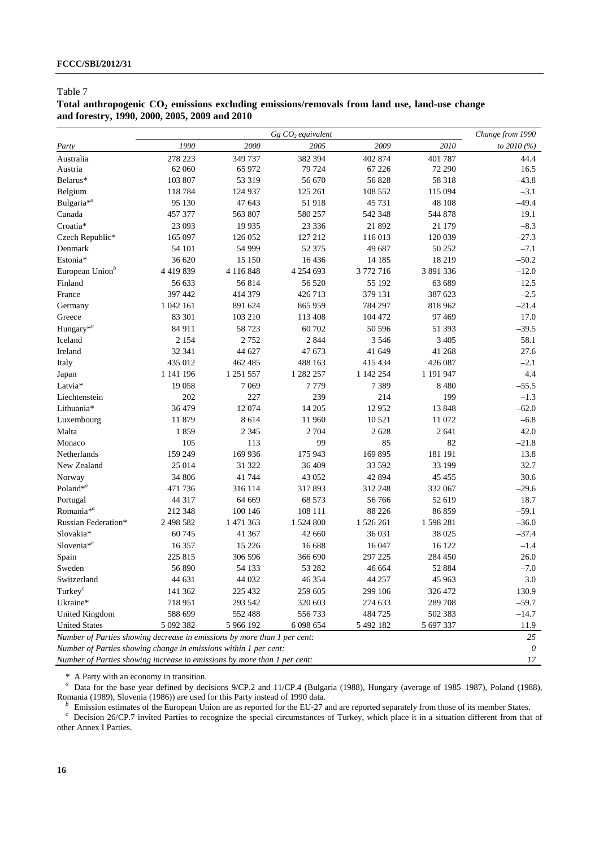## Total anthropogenic CO<sub>2</sub> emissions excluding emissions/removals from land use, land-use change **and forestry, 1990, 2000, 2005, 2009 and 2010**

|                                                                          |               |           | $Gg$ $CO2$ equivalent |           |           | Change from 1990 |  |  |
|--------------------------------------------------------------------------|---------------|-----------|-----------------------|-----------|-----------|------------------|--|--|
| Party                                                                    | 1990          | 2000      | 2005                  | 2009      | 2010      | to 2010 (%)      |  |  |
| Australia                                                                | 278 223       | 349 737   | 382 394               | 402 874   | 401 787   | 44.4             |  |  |
| Austria                                                                  | 62 060        | 65 972    | 79 724                | 67 226    | 72 290    | 16.5             |  |  |
| Belarus*                                                                 | 103 807       | 53 319    | 56 670                | 56828     | 58 318    | $-43.8$          |  |  |
| Belgium                                                                  | 118784        | 124 937   | 125 261               | 108 552   | 115 094   | $-3.1$           |  |  |
| Bulgaria <sup>*a</sup>                                                   | 95 130        | 47 643    | 51918                 | 45 731    | 48 108    | $-49.4$          |  |  |
| Canada                                                                   | 457 377       | 563 807   | 580 257               | 542 348   | 544 878   | 19.1             |  |  |
| Croatia*                                                                 | 23 093        | 19 9 35   | 23 3 36               | 21 892    | 21 179    | $-8.3$           |  |  |
| Czech Republic*                                                          | 165 097       | 126 052   | 127 212               | 116 013   | 120 039   | $-27.3$          |  |  |
| Denmark                                                                  | 54 101        | 54 999    | 52 37 5               | 49 687    | 50 252    | $-7.1$           |  |  |
| Estonia*                                                                 | 36 620        | 15 150    | 16436                 | 14 185    | 18 219    | $-50.2$          |  |  |
| European Union <sup>b</sup>                                              | 4 4 1 9 8 3 9 | 4 116 848 | 4 254 693             | 3 772 716 | 3 891 336 | $-12.0$          |  |  |
| Finland                                                                  | 56 633        | 56814     | 56 520                | 55 192    | 63 689    | 12.5             |  |  |
| France                                                                   | 397 442       | 414 379   | 426713                | 379 131   | 387 623   | $-2.5$           |  |  |
| Germany                                                                  | 1 042 161     | 891 624   | 865 959               | 784 297   | 818 962   | $-21.4$          |  |  |
| Greece                                                                   | 83 301        | 103 210   | 113 408               | 104 472   | 97 469    | 17.0             |  |  |
| Hungary <sup>*a</sup>                                                    | 84 911        | 58 723    | 60702                 | 50 596    | 51 393    | $-39.5$          |  |  |
| Iceland                                                                  | 2 1 5 4       | 2752      | 2 8 4 4               | 3 5 4 6   | 3 4 0 5   | 58.1             |  |  |
| Ireland                                                                  | 32 341        | 44 627    | 47 673                | 41 649    | 41 268    | 27.6             |  |  |
| Italy                                                                    | 435 012       | 462 485   | 488 163               | 415 434   | 426 087   | $-2.1$           |  |  |
| Japan                                                                    | 1 141 196     | 1 251 557 | 1 282 257             | 1 142 254 | 1 191 947 | 4.4              |  |  |
| Latvia*                                                                  | 19 058        | 7 0 6 9   | 7779                  | 7389      | 8 4 8 0   | $-55.5$          |  |  |
| Liechtenstein                                                            | 202           | 227       | 239                   | 214       | 199       | $-1.3$           |  |  |
| Lithuania*                                                               | 36 479        | 12 074    | 14 20 5               | 12952     | 13848     | $-62.0$          |  |  |
| Luxembourg                                                               | 11 879        | 8 6 1 4   | 11 960                | 10 5 21   | 11 072    | $-6.8$           |  |  |
| Malta                                                                    | 1859          | 2 3 4 5   | 2 7 0 4               | 2 6 2 8   | 2 641     | 42.0             |  |  |
| Monaco                                                                   | 105           | 113       | 99                    | 85        | 82        | $-21.8$          |  |  |
| Netherlands                                                              | 159 249       | 169 936   | 175 943               | 169 895   | 181 191   | 13.8             |  |  |
| New Zealand                                                              | 25 014        | 31 322    | 36 409                | 33 592    | 33 199    | 32.7             |  |  |
| Norway                                                                   | 34 806        | 41 744    | 43 052                | 42 894    | 45 4 55   | 30.6             |  |  |
| Poland <sup>*a</sup>                                                     | 471 736       | 316 114   | 317893                | 312 248   | 332 067   | $-29.6$          |  |  |
| Portugal                                                                 | 44 317        | 64 669    | 68 573                | 56766     | 52 619    | 18.7             |  |  |
| Romania <sup>*a</sup>                                                    | 212 348       | 100 146   | 108 111               | 88 226    | 86859     | $-59.1$          |  |  |
| Russian Federation*                                                      | 2 498 582     | 1 471 363 | 1 524 800             | 1 526 261 | 1 598 281 | $-36.0$          |  |  |
| Slovakia*                                                                | 60 745        | 41 367    | 42 660                | 36 031    | 38 025    | $-37.4$          |  |  |
| Slovenia <sup>*a</sup>                                                   | 16 357        | 15 2 2 6  | 16 688                | 16 047    | 16 122    | $-1.4$           |  |  |
| Spain                                                                    | 225 815       | 306 596   | 366 690               | 297 225   | 284 450   | 26.0             |  |  |
| Sweden                                                                   | 56 890        | 54 133    | 53 28 2               | 46 664    | 52 884    | $-7.0$           |  |  |
| Switzerland                                                              | 44 631        | 44 032    | 46 354                | 44 257    | 45 963    | 3.0              |  |  |
| Turkey $^c$                                                              | 141 362       | 225 432   | 259 605               | 299 106   | 326 472   | 130.9            |  |  |
| Ukraine*                                                                 | 718 951       | 293 542   | 320 603               | 274 633   | 289 708   | $-59.7$          |  |  |
| United Kingdom                                                           | 588 699       | 552 488   | 556733                | 484 725   | 502 383   | $-14.7$          |  |  |
| <b>United States</b>                                                     | 5 092 382     | 5 966 192 | 6 0 98 6 54           | 5 492 182 | 5 697 337 | 11.9             |  |  |
| Number of Parties showing decrease in emissions by more than 1 per cent: |               |           |                       |           |           | 25               |  |  |
| Number of Parties showing change in emissions within 1 per cent:         |               |           |                       |           |           | 0                |  |  |
| Number of Parties showing increase in emissions by more than 1 per cent: |               |           |                       |           |           |                  |  |  |

\* A Party with an economy in transition.

<sup>a</sup> Data for the base year defined by decisions 9/CP.2 and 11/CP.4 (Bulgaria (1988), Hungary (average of 1985–1987), Poland (1988), Romania (1989), Slovenia (1986)) are used for this Party instead of 1990 data.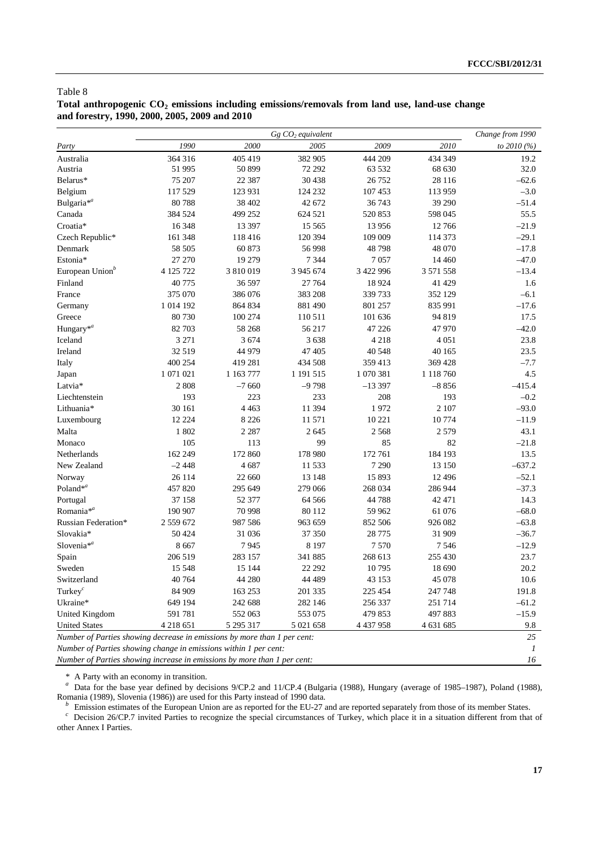## Total anthropogenic CO<sub>2</sub> emissions including emissions/removals from land use, land-use change **and forestry, 1990, 2000, 2005, 2009 and 2010**

|                                                                          |              |           | $Gg$ $CO2$ equivalent |           |           | Change from 1990 |  |  |
|--------------------------------------------------------------------------|--------------|-----------|-----------------------|-----------|-----------|------------------|--|--|
| Party                                                                    | 1990         | 2000      | 2005                  | 2009      | 2010      | to 2010 (%)      |  |  |
| Australia                                                                | 364 316      | 405 419   | 382 905               | 444 209   | 434 349   | 19.2             |  |  |
| Austria                                                                  | 51 995       | 50 899    | 72 292                | 63 532    | 68 630    | 32.0             |  |  |
| Belarus*                                                                 | 75 207       | 22 3 8 7  | 30 438                | 26 7 52   | 28 116    | $-62.6$          |  |  |
| Belgium                                                                  | 117 529      | 123 931   | 124 232               | 107 453   | 113 959   | $-3.0$           |  |  |
| Bulgaria <sup>*a</sup>                                                   | 80788        | 38 402    | 42 672                | 36 743    | 39 290    | $-51.4$          |  |  |
| Canada                                                                   | 384 524      | 499 252   | 624 521               | 520 853   | 598 045   | 55.5             |  |  |
| Croatia*                                                                 | 16 348       | 13 397    | 15 5 65               | 13 9 56   | 12766     | $-21.9$          |  |  |
| Czech Republic*                                                          | 161 348      | 118 416   | 120 394               | 109 009   | 114 373   | $-29.1$          |  |  |
| Denmark                                                                  | 58 505       | 60 873    | 56 998                | 48798     | 48 070    | $-17.8$          |  |  |
| Estonia*                                                                 | 27 270       | 19 279    | 7 3 4 4               | 7057      | 14 4 6 0  | $-47.0$          |  |  |
| European Union <sup>b</sup>                                              | 4 125 722    | 3 810 019 | 3 945 674             | 3 422 996 | 3 571 558 | $-13.4$          |  |  |
| Finland                                                                  | 40775        | 36 597    | 27 764                | 18 9 24   | 41 429    | 1.6              |  |  |
| France                                                                   | 375 070      | 386 076   | 383 208               | 339 733   | 352 129   | $-6.1$           |  |  |
| Germany                                                                  | 1 0 14 1 9 2 | 864 834   | 881 490               | 801 257   | 835 991   | $-17.6$          |  |  |
| Greece                                                                   | 80730        | 100 274   | 110511                | 101 636   | 94 819    | 17.5             |  |  |
| Hungary <sup>*a</sup>                                                    | 82 703       | 58 268    | 56 217                | 47 226    | 47 970    | $-42.0$          |  |  |
| Iceland                                                                  | 3 2 7 1      | 3 6 7 4   | 3638                  | 4 2 1 8   | 4 0 5 1   | 23.8             |  |  |
| Ireland                                                                  | 32519        | 44 979    | 47 405                | 40 548    | 40 165    | 23.5             |  |  |
| Italy                                                                    | 400 254      | 419 281   | 434 508               | 359 413   | 369 428   | $-7.7$           |  |  |
| Japan                                                                    | 1 071 021    | 1 163 777 | 1 191 515             | 1 070 381 | 1 118 760 | 4.5              |  |  |
| Latvia*                                                                  | 2 8 0 8      | $-7660$   | $-9798$               | $-13397$  | $-8856$   | $-415.4$         |  |  |
| Liechtenstein                                                            | 193          | 223       | 233                   | 208       | 193       | $-0.2$           |  |  |
| Lithuania*                                                               | 30 161       | 4 4 6 3   | 11 394                | 1972      | 2 1 0 7   | $-93.0$          |  |  |
| Luxembourg                                                               | 12 2 2 4     | 8 2 2 6   | 11571                 | 10 221    | 10774     | $-11.9$          |  |  |
| Malta                                                                    | 1 802        | 2 2 8 7   | 2 6 4 5               | 2 5 6 8   | 2 5 7 9   | 43.1             |  |  |
| Monaco                                                                   | 105          | 113       | 99                    | 85        | 82        | $-21.8$          |  |  |
| Netherlands                                                              | 162 249      | 172 860   | 178 980               | 172 761   | 184 193   | 13.5             |  |  |
| New Zealand                                                              | $-2448$      | 4 687     | 11 533                | 7 2 9 0   | 13 150    | $-637.2$         |  |  |
| Norway                                                                   | 26 114       | 22 660    | 13 148                | 15 893    | 12 4 9 6  | $-52.1$          |  |  |
| Poland <sup>*a</sup>                                                     | 457820       | 295 649   | 279 066               | 268 034   | 286 944   | $-37.3$          |  |  |
| Portugal                                                                 | 37 158       | 52 377    | 64 5 66               | 44788     | 42 471    | 14.3             |  |  |
| Romania <sup>*a</sup>                                                    | 190 907      | 70 998    | 80 112                | 59 962    | 61 076    | $-68.0$          |  |  |
| Russian Federation*                                                      | 2 559 672    | 987 586   | 963 659               | 852 506   | 926 082   | $-63.8$          |  |  |
| Slovakia*                                                                | 50 424       | 31 036    | 37 350                | 28 7 75   | 31 909    | $-36.7$          |  |  |
| Slovenia <sup>*a</sup>                                                   | 8 6 6 7      | 7945      | 8 1 9 7               | 7570      | 7546      | $-12.9$          |  |  |
| Spain                                                                    | 206 519      | 283 157   | 341 885               | 268 613   | 255 430   | 23.7             |  |  |
| Sweden                                                                   | 15 5 48      | 15 144    | 22 29 2               | 10795     | 18 690    | 20.2             |  |  |
| Switzerland                                                              | 40764        | 44 280    | 44 4 8 9              | 43 153    | 45 078    | 10.6             |  |  |
| Turkey <sup><math>c</math></sup>                                         | 84 909       | 163 253   | 201 335               | 225 454   | 247 748   | 191.8            |  |  |
| Ukraine*                                                                 | 649 194      | 242 688   | 282 146               | 256 337   | 251 714   | $-61.2$          |  |  |
| United Kingdom                                                           | 591781       | 552 063   | 553 075               | 479 853   | 497883    | $-15.9$          |  |  |
| <b>United States</b>                                                     | 4 2 18 6 5 1 | 5 295 317 | 5 021 658             | 4 437 958 | 4 631 685 | $9.8\,$          |  |  |
| Number of Parties showing decrease in emissions by more than 1 per cent: |              |           |                       |           |           | 25               |  |  |
| Number of Parties showing change in emissions within 1 per cent:         |              |           |                       |           |           | $\overline{I}$   |  |  |
| Number of Parties showing increase in emissions by more than 1 per cent: |              |           |                       |           |           |                  |  |  |

\* A Party with an economy in transition.

<sup>a</sup> Data for the base year defined by decisions 9/CP.2 and 11/CP.4 (Bulgaria (1988), Hungary (average of 1985–1987), Poland (1988), Romania (1989), Slovenia (1986)) are used for this Party instead of 1990 data.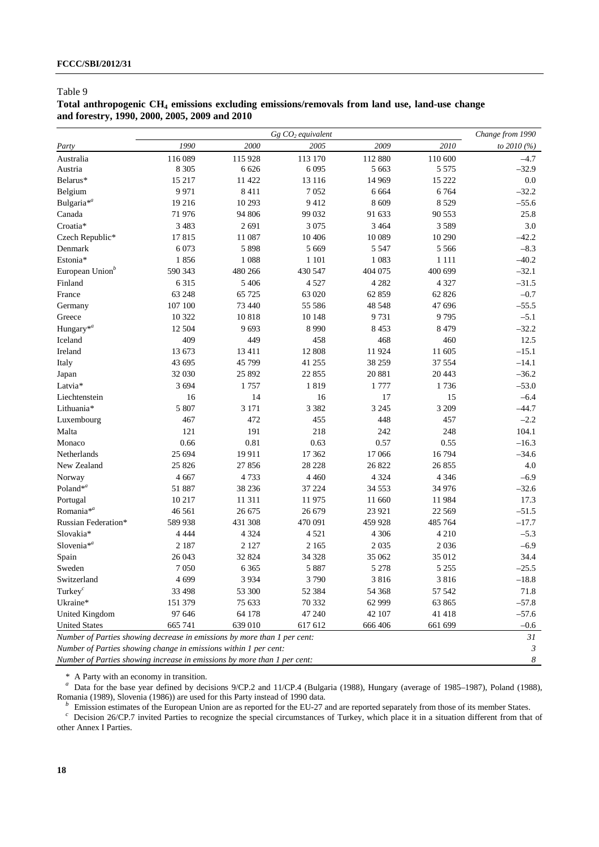## **Total anthropogenic CH4 emissions excluding emissions/removals from land use, land-use change and forestry, 1990, 2000, 2005, 2009 and 2010**

|                                                                          | $Gg$ $CO2$ equivalent |         |         |         |          | Change from 1990 |  |
|--------------------------------------------------------------------------|-----------------------|---------|---------|---------|----------|------------------|--|
| Party                                                                    | 1990                  | 2000    | 2005    | 2009    | 2010     | to 2010 (%)      |  |
| Australia                                                                | 116 089               | 115 928 | 113 170 | 112 880 | 110 600  | $-4.7$           |  |
| Austria                                                                  | 8 3 0 5               | 6 6 2 6 | 6 0 9 5 | 5 6 6 3 | 5 5 7 5  | $-32.9$          |  |
| Belarus*                                                                 | 15 217                | 11 422  | 13 116  | 14 9 69 | 15 222   | $0.0\,$          |  |
| Belgium                                                                  | 9 9 7 1               | 8 4 1 1 | 7052    | 6 6 6 4 | 6764     | $-32.2$          |  |
| Bulgaria <sup>*a</sup>                                                   | 19 21 6               | 10 29 3 | 9412    | 8 6 0 9 | 8529     | $-55.6$          |  |
| Canada                                                                   | 71976                 | 94 806  | 99 032  | 91 633  | 90 553   | 25.8             |  |
| Croatia*                                                                 | 3 4 8 3               | 2691    | 3 0 7 5 | 3 4 6 4 | 3 5 8 9  | 3.0              |  |
| Czech Republic*                                                          | 17815                 | 11 087  | 10 40 6 | 10 0 89 | 10 290   | $-42.2$          |  |
| Denmark                                                                  | 6 0 73                | 5 8 9 8 | 5 6 6 9 | 5 5 4 7 | 5 5 6 6  | $-8.3$           |  |
| Estonia*                                                                 | 1856                  | 1 0 8 8 | 1 1 0 1 | 1 0 8 3 | 1 1 1 1  | $-40.2$          |  |
| European Union <sup>b</sup>                                              | 590 343               | 480 266 | 430 547 | 404 075 | 400 699  | $-32.1$          |  |
| Finland                                                                  | 6 3 1 5               | 5 4 0 6 | 4 5 2 7 | 4 2 8 2 | 4 3 2 7  | $-31.5$          |  |
| France                                                                   | 63 248                | 65 725  | 63 020  | 62 859  | 62 826   | $-0.7$           |  |
| Germany                                                                  | 107 100               | 73 440  | 55 58 6 | 48 548  | 47 696   | $-55.5$          |  |
| Greece                                                                   | 10 322                | 10818   | 10 148  | 9731    | 9795     | $-5.1$           |  |
| Hungary <sup>*a</sup>                                                    | 12 504                | 9693    | 8 9 9 0 | 8 4 5 3 | 8479     | $-32.2$          |  |
| Iceland                                                                  | 409                   | 449     | 458     | 468     | 460      | 12.5             |  |
| Ireland                                                                  | 13673                 | 13 4 11 | 12 808  | 11924   | 11 605   | $-15.1$          |  |
| Italy                                                                    | 43 695                | 45 799  | 41 255  | 38 25 9 | 37 554   | $-14.1$          |  |
| Japan                                                                    | 32 030                | 25 892  | 22 855  | 20 881  | 20 443   | $-36.2$          |  |
| Latvia*                                                                  | 3 6 9 4               | 1757    | 1819    | 1 777   | 1736     | $-53.0$          |  |
| Liechtenstein                                                            | 16                    | 14      | 16      | 17      | 15       | $-6.4$           |  |
| Lithuania*                                                               | 5 807                 | 3 1 7 1 | 3 3 8 2 | 3 2 4 5 | 3 209    | $-44.7$          |  |
| Luxembourg                                                               | 467                   | 472     | 455     | 448     | 457      | $-2.2$           |  |
| Malta                                                                    | 121                   | 191     | 218     | 242     | 248      | 104.1            |  |
| Monaco                                                                   | 0.66                  | 0.81    | 0.63    | 0.57    | 0.55     | $-16.3$          |  |
| Netherlands                                                              | 25 694                | 19 911  | 17 362  | 17 066  | 16794    | $-34.6$          |  |
| New Zealand                                                              | 25 8 26               | 27 856  | 28 22 8 | 26 822  | 26 855   | 4.0              |  |
| Norway                                                                   | 4 6 6 7               | 4733    | 4 4 6 0 | 4 3 2 4 | 4 3 4 6  | $-6.9$           |  |
| Poland <sup>*a</sup>                                                     | 51 887                | 38 2 36 | 37 224  | 34 5 53 | 34 976   | $-32.6$          |  |
| Portugal                                                                 | 10 217                | 11 311  | 11975   | 11 660  | 11984    | 17.3             |  |
| Romania <sup>*a</sup>                                                    | 46 5 61               | 26 675  | 26 679  | 23 9 21 | 22 5 6 9 | $-51.5$          |  |
| Russian Federation*                                                      | 589 938               | 431 308 | 470 091 | 459 928 | 485 764  | $-17.7$          |  |
| Slovakia*                                                                | 4 4 4 4               | 4 3 2 4 | 4521    | 4 3 0 6 | 4 2 1 0  | $-5.3$           |  |
| Slovenia $*^a$                                                           | 2 1 8 7               | 2 1 2 7 | 2 1 6 5 | 2 0 3 5 | 2036     | $-6.9$           |  |
| Spain                                                                    | 26 043                | 32 824  | 34 328  | 35 062  | 35 012   | 34.4             |  |
| Sweden                                                                   | 7 0 5 0               | 6 3 6 5 | 5 8 8 7 | 5 2 7 8 | 5 2 5 5  | $-25.5$          |  |
| Switzerland                                                              | 4 6 9 9               | 3 9 3 4 | 3790    | 3 8 1 6 | 3 8 1 6  | $-18.8\,$        |  |
| Turkey $c$                                                               | 33 4 98               | 53 300  | 52 384  | 54 368  | 57 542   | 71.8             |  |
| Ukraine*                                                                 | 151 379               | 75 633  | 70 332  | 62 999  | 63 865   | $-57.8$          |  |
| United Kingdom                                                           | 97 646                | 64 178  | 47 240  | 42 107  | 41418    | $-57.6$          |  |
| <b>United States</b>                                                     | 665 741               | 639 010 | 617 612 | 666 406 | 661 699  | $-0.6$           |  |
| Number of Parties showing decrease in emissions by more than 1 per cent: |                       |         |         |         |          | 31               |  |
| Number of Parties showing change in emissions within 1 per cent:         |                       |         |         |         |          | 3                |  |
| Number of Parties showing increase in emissions by more than 1 per cent: |                       |         |         |         |          |                  |  |

\* A Party with an economy in transition. *a* Data for the base year defined by decisions 9/CP.2 and 11/CP.4 (Bulgaria (1988), Hungary (average of 1985–1987), Poland (1988),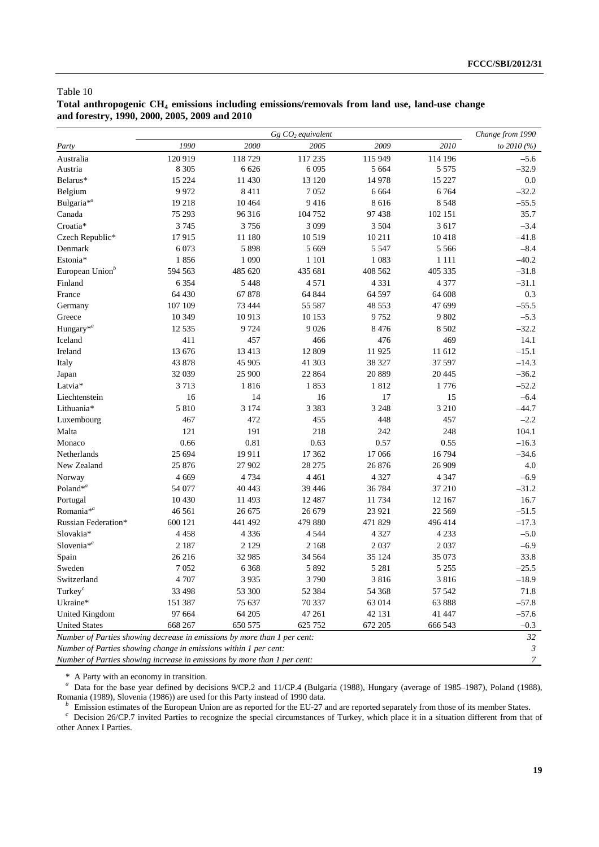## **Total anthropogenic CH4 emissions including emissions/removals from land use, land-use change and forestry, 1990, 2000, 2005, 2009 and 2010**

|                                                                          |         | Change from 1990 |          |         |          |                  |
|--------------------------------------------------------------------------|---------|------------------|----------|---------|----------|------------------|
| Party                                                                    | 1990    | 2000             | 2005     | 2009    | 2010     | to 2010 (%)      |
| Australia                                                                | 120 919 | 118729           | 117 235  | 115 949 | 114 196  | $-5.6$           |
| Austria                                                                  | 8 3 0 5 | 6 6 2 6          | 6 0 9 5  | 5 6 6 4 | 5 5 7 5  | $-32.9$          |
| Belarus*                                                                 | 15 224  | 11 430           | 13 120   | 14 978  | 15 227   | $0.0\,$          |
| Belgium                                                                  | 9972    | 8 4 1 1          | 7052     | 6 6 6 4 | 6764     | $-32.2$          |
| Bulgaria <sup>*a</sup>                                                   | 19218   | 10 4 64          | 9416     | 8 6 1 6 | 8 5 4 8  | $-55.5$          |
| Canada                                                                   | 75 293  | 96 316           | 104 752  | 97 438  | 102 151  | 35.7             |
| Croatia*                                                                 | 3 7 4 5 | 3756             | 3 0 9 9  | 3 5 0 4 | 3 617    | $-3.4$           |
| Czech Republic*                                                          | 17915   | 11 180           | 10519    | 10 211  | 10418    | $-41.8$          |
| Denmark                                                                  | 6 0 73  | 5 8 9 8          | 5 6 6 9  | 5 5 4 7 | 5 5 6 6  | $-8.4$           |
| Estonia*                                                                 | 1856    | 1 0 9 0          | 1 1 0 1  | 1 0 8 3 | 1 1 1 1  | $-40.2$          |
| European Union <sup>b</sup>                                              | 594 563 | 485 620          | 435 681  | 408 562 | 405 335  | $-31.8$          |
| Finland                                                                  | 6 3 5 4 | 5 4 4 8          | 4571     | 4 3 3 1 | 4 3 7 7  | $-31.1$          |
| France                                                                   | 64 4 30 | 67878            | 64 844   | 64 597  | 64 608   | 0.3              |
| Germany                                                                  | 107 109 | 73 444           | 55 587   | 48 553  | 47 699   | $-55.5$          |
| Greece                                                                   | 10 349  | 10 913           | 10 153   | 9752    | 9 802    | $-5.3$           |
| Hungary <sup>*a</sup>                                                    | 12535   | 9 7 2 4          | 9026     | 8 4 7 6 | 8 5 0 2  | $-32.2$          |
| Iceland                                                                  | 411     | 457              | 466      | 476     | 469      | 14.1             |
| Ireland                                                                  | 13 676  | 13 4 13          | 12 809   | 11925   | 11 612   | $-15.1$          |
| Italy                                                                    | 43 878  | 45 905           | 41 303   | 38 327  | 37 597   | $-14.3$          |
| Japan                                                                    | 32 039  | 25 900           | 22 8 6 4 | 20 8 89 | 20445    | $-36.2$          |
| Latvia*                                                                  | 3713    | 1816             | 1853     | 1812    | 1776     | $-52.2$          |
| Liechtenstein                                                            | 16      | 14               | 16       | 17      | 15       | $-6.4$           |
| Lithuania*                                                               | 5 8 1 0 | 3 1 7 4          | 3 3 8 3  | 3 2 4 8 | 3 2 1 0  | $-44.7$          |
| Luxembourg                                                               | 467     | 472              | 455      | 448     | 457      | $-2.2$           |
| Malta                                                                    | 121     | 191              | 218      | 242     | 248      | 104.1            |
| Monaco                                                                   | 0.66    | 0.81             | 0.63     | 0.57    | 0.55     | $-16.3$          |
| Netherlands                                                              | 25 694  | 19 911           | 17 362   | 17 066  | 16794    | $-34.6$          |
| New Zealand                                                              | 25 876  | 27 902           | 28 27 5  | 26 876  | 26 909   | 4.0              |
| Norway                                                                   | 4 6 6 9 | 4 7 3 4          | 4 4 6 1  | 4 3 2 7 | 4 3 4 7  | $-6.9$           |
| Poland <sup>*a</sup>                                                     | 54 077  | 40 443           | 39 4 4 6 | 36 784  | 37 210   | $-31.2$          |
| Portugal                                                                 | 10430   | 11 493           | 12 4 8 7 | 11734   | 12 167   | 16.7             |
| Romania <sup>*a</sup>                                                    | 46 5 61 | 26 675           | 26 679   | 23 9 21 | 22 5 6 9 | $-51.5$          |
| Russian Federation*                                                      | 600 121 | 441 492          | 479 880  | 471 829 | 496 414  | $-17.3$          |
| Slovakia*                                                                | 4 4 5 8 | 4 3 3 6          | 4 5 4 4  | 4 3 2 7 | 4 2 3 3  | $-5.0$           |
| Slovenia $*^a$                                                           | 2 1 8 7 | 2 1 2 9          | 2 1 6 8  | 2 0 3 7 | 2037     | $-6.9$           |
| Spain                                                                    | 26 216  | 32 985           | 34 5 64  | 35 124  | 35 073   | 33.8             |
| Sweden                                                                   | 7052    | 6 3 6 8          | 5 8 9 2  | 5 2 8 1 | 5 2 5 5  | $-25.5$          |
| Switzerland                                                              | 4 7 0 7 | 3 9 3 5          | 3790     | 3 8 1 6 | 3 8 1 6  | $-18.9$          |
| Turkey $c$                                                               | 33 4 98 | 53 300           | 52 384   | 54 368  | 57 542   | 71.8             |
| Ukraine*                                                                 | 151 387 | 75 637           | 70 337   | 63 014  | 63888    | $-57.8$          |
| United Kingdom                                                           | 97 664  | 64 205           | 47 261   | 42 131  | 41 447   | $-57.6$          |
| <b>United States</b>                                                     | 668 267 | 650 575          | 625 752  | 672 205 | 666 543  | $-0.3$           |
| Number of Parties showing decrease in emissions by more than 1 per cent: |         |                  |          |         |          | 32               |
| Number of Parties showing change in emissions within 1 per cent:         |         |                  |          |         |          | 3                |
| Number of Parties showing increase in emissions by more than 1 per cent: |         |                  |          |         |          | $\boldsymbol{7}$ |

\* A Party with an economy in transition. *a* Data for the base year defined by decisions 9/CP.2 and 11/CP.4 (Bulgaria (1988), Hungary (average of 1985–1987), Poland (1988),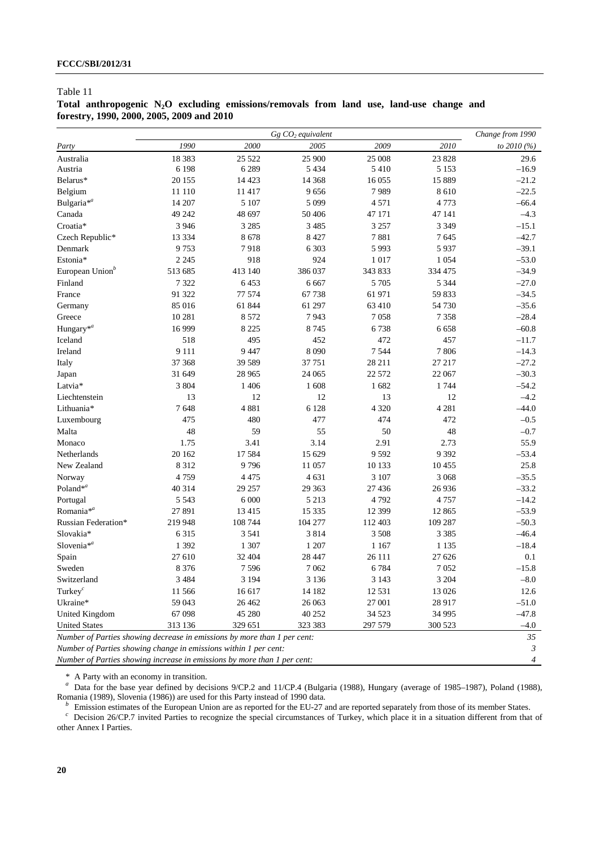## **Total anthropogenic N2O excluding emissions/removals from land use, land-use change and forestry, 1990, 2000, 2005, 2009 and 2010**

|                                                                          |          | Change from 1990 |                               |          |         |              |  |
|--------------------------------------------------------------------------|----------|------------------|-------------------------------|----------|---------|--------------|--|
| Party                                                                    | 1990     | 2000             | $Gg$ $CO2$ equivalent<br>2005 | 2009     | 2010    | to $2010(%)$ |  |
| Australia                                                                | 18 3 8 3 | 25 5 22          | 25 900                        | 25 008   | 23 828  | 29.6         |  |
| Austria                                                                  | 6 1 9 8  | 6 2 8 9          | 5 4 3 4                       | 5 4 1 0  | 5 1 5 3 | $-16.9$      |  |
| Belarus*                                                                 | 20 15 5  | 14 4 23          | 14 3 68                       | 16 0 55  | 15 889  | $-21.2$      |  |
| Belgium                                                                  | 11 110   | 11 417           | 9656                          | 7989     | 8610    | $-22.5$      |  |
| Bulgaria <sup>*a</sup>                                                   | 14 207   | 5 107            | 5 0 9 9                       | 4 5 7 1  | 4773    | $-66.4$      |  |
| Canada                                                                   | 49 24 2  | 48 697           | 50 40 6                       | 47 171   | 47 141  | $-4.3$       |  |
| Croatia*                                                                 | 3 9 4 6  | 3 2 8 5          | 3 4 8 5                       | 3 2 5 7  | 3 3 4 9 | $-15.1$      |  |
| Czech Republic*                                                          | 13 3 3 4 | 8678             | 8 4 2 7                       | 7881     | 7645    | $-42.7$      |  |
| Denmark                                                                  | 9753     | 7918             | 6 3 0 3                       | 5 9 9 3  | 5937    | $-39.1$      |  |
| Estonia*                                                                 | 2 2 4 5  | 918              | 924                           | 1 0 1 7  | 1 0 5 4 | $-53.0$      |  |
| European Union <sup>b</sup>                                              | 513 685  | 413 140          | 386 037                       | 343 833  | 334 475 | $-34.9$      |  |
| Finland                                                                  | 7 3 2 2  | 6453             | 6 6 6 7                       | 5 7 0 5  | 5 3 4 4 | $-27.0$      |  |
| France                                                                   | 91 322   | 77 574           | 67738                         | 61 971   | 59 833  | $-34.5$      |  |
| Germany                                                                  | 85 016   | 61 844           | 61 297                        | 63 410   | 54730   | $-35.6$      |  |
| Greece                                                                   | 10 281   | 8 5 7 2          | 7943                          | 7058     | 7 3 5 8 | $-28.4$      |  |
| Hungary <sup>*a</sup>                                                    | 16999    | 8 2 2 5          | 8745                          | 6738     | 6658    | $-60.8$      |  |
| Iceland                                                                  | 518      | 495              | 452                           | 472      | 457     | $-11.7$      |  |
| Ireland                                                                  | 9 1 1 1  | 9 4 4 7          | 8 0 9 0                       | 7 5 4 4  | 7806    | $-14.3$      |  |
| Italy                                                                    | 37 368   | 39 589           | 37751                         | 28 211   | 27 217  | $-27.2$      |  |
| Japan                                                                    | 31 649   | 28 9 65          | 24 065                        | 22 572   | 22 067  | $-30.3$      |  |
| Latvia*                                                                  | 3 8 0 4  | 1 4 0 6          | 1608                          | 1682     | 1744    | $-54.2$      |  |
| Liechtenstein                                                            | 13       | 12               | 12                            | 13       | 12      | $-4.2$       |  |
| Lithuania*                                                               | 7648     | 4881             | 6 1 2 8                       | 4 3 2 0  | 4 2 8 1 | $-44.0$      |  |
| Luxembourg                                                               | 475      | 480              | 477                           | 474      | 472     | $-0.5$       |  |
| Malta                                                                    | 48       | 59               | 55                            | 50       | 48      | $-0.7$       |  |
| Monaco                                                                   | 1.75     | 3.41             | 3.14                          | 2.91     | 2.73    | 55.9         |  |
| Netherlands                                                              | 20 16 2  | 17584            | 15 629                        | 9 5 9 2  | 9 3 9 2 | $-53.4$      |  |
| New Zealand                                                              | 8 3 1 2  | 9796             | 11 057                        | 10 133   | 10 455  | 25.8         |  |
| Norway                                                                   | 4759     | 4 4 7 5          | 4 6 3 1                       | 3 107    | 3 0 6 8 | $-35.5$      |  |
| Poland* $a$                                                              | 40 314   | 29 257           | 29 3 63                       | 27 4 36  | 26936   | $-33.2$      |  |
| Portugal                                                                 | 5 5 4 3  | 6 000            | 5 2 1 3                       | 4 7 9 2  | 4757    | $-14.2$      |  |
| Romania <sup>*a</sup>                                                    | 27 891   | 13 4 15          | 15 3 35                       | 12 3 9 9 | 12 865  | $-53.9$      |  |
| Russian Federation*                                                      | 219 948  | 108 744          | 104 277                       | 112 403  | 109 287 | $-50.3$      |  |
| Slovakia*                                                                | 6 3 1 5  | 3 5 4 1          | 3814                          | 3 5 0 8  | 3 3 8 5 | $-46.4$      |  |
| Slovenia <sup>*a</sup>                                                   | 1 3 9 2  | 1 307            | 1 207                         | 1 1 6 7  | 1 1 3 5 | $-18.4$      |  |
| Spain                                                                    | 27 610   | 32 404           | 28 447                        | 26 111   | 27 626  | 0.1          |  |
| Sweden                                                                   | 8 3 7 6  | 7596             | 7 0 6 2                       | 6784     | 7052    | $-15.8$      |  |
| Switzerland                                                              | 3 4 8 4  | 3 1 9 4          | 3 1 3 6                       | 3 1 4 3  | 3 2 0 4 | $-8.0$       |  |
| Turkey $^c$                                                              | 11566    | 16 617           | 14 182                        | 12 5 31  | 13 0 26 | 12.6         |  |
| Ukraine*                                                                 | 59 043   | 26 4 62          | 26 063                        | 27 001   | 28 917  | $-51.0$      |  |
| United Kingdom                                                           | 67098    | 45 280           | 40 25 2                       | 34 5 23  | 34 995  | $-47.8$      |  |
| <b>United States</b>                                                     | 313 136  | 329 651          | 323 383                       | 297 579  | 300 523 | $-4.0$       |  |
| Number of Parties showing decrease in emissions by more than 1 per cent: |          |                  |                               |          |         | 35           |  |
| Number of Parties showing change in emissions within 1 per cent:         |          |                  |                               |          |         | 3            |  |
| Number of Parties showing increase in emissions by more than 1 per cent: |          |                  |                               |          |         |              |  |

\* A Party with an economy in transition. *a* Data for the base year defined by decisions 9/CP.2 and 11/CP.4 (Bulgaria (1988), Hungary (average of 1985–1987), Poland (1988),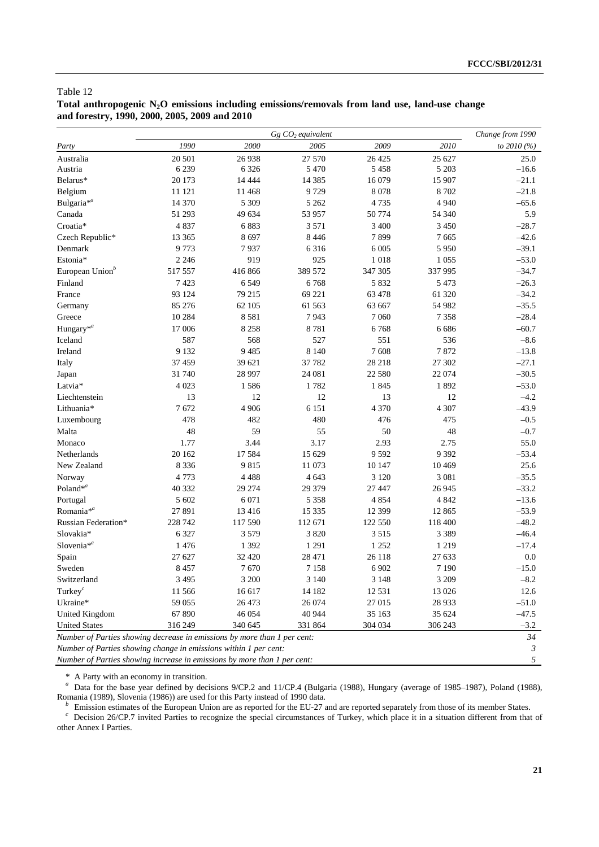## Total anthropogenic N<sub>2</sub>O emissions including emissions/removals from land use, land-use change **and forestry, 1990, 2000, 2005, 2009 and 2010**

|                                                                          |         | Change from 1990 |          |         |          |             |
|--------------------------------------------------------------------------|---------|------------------|----------|---------|----------|-------------|
| Party                                                                    | 1990    | 2000             | 2005     | 2009    | 2010     | to 2010 (%) |
| Australia                                                                | 20 501  | 26 938           | 27 570   | 26 4 25 | 25 627   | 25.0        |
| Austria                                                                  | 6 2 3 9 | 6 3 2 6          | 5 4 7 0  | 5 4 5 8 | 5 2 0 3  | $-16.6$     |
| Belarus*                                                                 | 20 173  | 14 4 44          | 14 3 8 5 | 16 079  | 15 907   | $-21.1$     |
| Belgium                                                                  | 11 121  | 11 4 68          | 9729     | 8 0 7 8 | 8702     | $-21.8$     |
| Bulgaria <sup>*a</sup>                                                   | 14 370  | 5 3 0 9          | 5 2 6 2  | 4735    | 4 9 4 0  | $-65.6$     |
| Canada                                                                   | 51 293  | 49 634           | 53 957   | 50 774  | 54 340   | 5.9         |
| Croatia*                                                                 | 4837    | 6883             | 3571     | 3 4 0 0 | 3 4 5 0  | $-28.7$     |
| Czech Republic*                                                          | 13 3 65 | 8 6 9 7          | 8 4 4 6  | 7899    | 7 6 6 5  | $-42.6$     |
| Denmark                                                                  | 9773    | 7937             | 6 3 1 6  | 6 0 0 5 | 5 9 5 0  | $-39.1$     |
| Estonia*                                                                 | 2 2 4 6 | 919              | 925      | 1 0 1 8 | 1 0 5 5  | $-53.0$     |
| European Union <sup>b</sup>                                              | 517557  | 416 866          | 389 572  | 347 305 | 337 995  | $-34.7$     |
| Finland                                                                  | 7423    | 6 5 4 9          | 6768     | 5 8 3 2 | 5 4 7 3  | $-26.3$     |
| France                                                                   | 93 124  | 79 215           | 69 221   | 63 478  | 61 320   | $-34.2$     |
| Germany                                                                  | 85 27 6 | 62 105           | 61 563   | 63 667  | 54 982   | $-35.5$     |
| Greece                                                                   | 10 284  | 8581             | 7943     | 7 0 6 0 | 7 3 5 8  | $-28.4$     |
| Hungary <sup>*a</sup>                                                    | 17 006  | 8 2 5 8          | 8781     | 6768    | 6 6 8 6  | $-60.7$     |
| Iceland                                                                  | 587     | 568              | 527      | 551     | 536      | $-8.6$      |
| Ireland                                                                  | 9 1 3 2 | 9 4 8 5          | 8 1 4 0  | 7608    | 7872     | $-13.8$     |
| Italy                                                                    | 37 459  | 39 621           | 37782    | 28 218  | 27 302   | $-27.1$     |
| Japan                                                                    | 31740   | 28 997           | 24 081   | 22 580  | 22 074   | $-30.5$     |
| Latvia*                                                                  | 4 0 23  | 1586             | 1782     | 1845    | 1892     | $-53.0$     |
| Liechtenstein                                                            | 13      | 12               | 12       | 13      | 12       | $-4.2$      |
| Lithuania*                                                               | 7672    | 4 9 0 6          | 6 1 5 1  | 4 3 7 0 | 4 3 0 7  | $-43.9$     |
| Luxembourg                                                               | 478     | 482              | 480      | 476     | 475      | $-0.5$      |
| Malta                                                                    | 48      | 59               | 55       | 50      | 48       | $-0.7$      |
| Monaco                                                                   | 1.77    | 3.44             | 3.17     | 2.93    | 2.75     | 55.0        |
| Netherlands                                                              | 20 16 2 | 17584            | 15 629   | 9 5 9 2 | 9 3 9 2  | $-53.4$     |
| New Zealand                                                              | 8 3 3 6 | 9815             | 11 073   | 10 147  | 10 4 69  | 25.6        |
| Norway                                                                   | 4773    | 4 4 8 8          | 4 6 4 3  | 3 1 2 0 | 3 0 8 1  | $-35.5$     |
| Poland* $a$                                                              | 40 332  | 29 274           | 29 37 9  | 27 447  | 26 9 45  | $-33.2$     |
| Portugal                                                                 | 5 602   | 6 0 7 1          | 5 3 5 8  | 4 8 5 4 | 4 8 4 2  | $-13.6$     |
| Romania <sup>*a</sup>                                                    | 27891   | 13 4 16          | 15 3 35  | 12 399  | 12 865   | $-53.9$     |
| Russian Federation*                                                      | 228 742 | 117 590          | 112 671  | 122 550 | 118 400  | $-48.2$     |
| Slovakia*                                                                | 6 3 2 7 | 3 5 7 9          | 3 8 2 0  | 3515    | 3 3 8 9  | $-46.4$     |
| Slovenia $*^a$                                                           | 1476    | 1 3 9 2          | 1 2 9 1  | 1 2 5 2 | 1 2 1 9  | $-17.4$     |
| Spain                                                                    | 27 627  | 32 4 20          | 28 471   | 26 118  | 27 633   | 0.0         |
| Sweden                                                                   | 8 4 5 7 | 7670             | 7 1 5 8  | 6 902   | 7 1 9 0  | $-15.0$     |
| Switzerland                                                              | 3 4 9 5 | $3\ 200$         | 3 1 4 0  | 3 1 4 8 | $3\;209$ | $-8.2$      |
| Turkey $^c$                                                              | 11566   | 16 617           | 14 182   | 12 5 31 | 13 0 26  | 12.6        |
| Ukraine*                                                                 | 59 055  | 26 473           | 26 074   | 27 015  | 28 9 33  | $-51.0$     |
| United Kingdom                                                           | 67890   | 46 0 54          | 40 944   | 35 163  | 35 624   | $-47.5$     |
| <b>United States</b>                                                     | 316 249 | 340 645          | 331 864  | 304 034 | 306 243  | $-3.2$      |
| Number of Parties showing decrease in emissions by more than 1 per cent: |         |                  |          |         |          | 34          |
| Number of Parties showing change in emissions within 1 per cent:         |         |                  |          |         |          | 3           |
| Number of Parties showing increase in emissions by more than 1 per cent: |         |                  |          |         |          | 5           |

\* A Party with an economy in transition. *a* Data for the base year defined by decisions 9/CP.2 and 11/CP.4 (Bulgaria (1988), Hungary (average of 1985–1987), Poland (1988),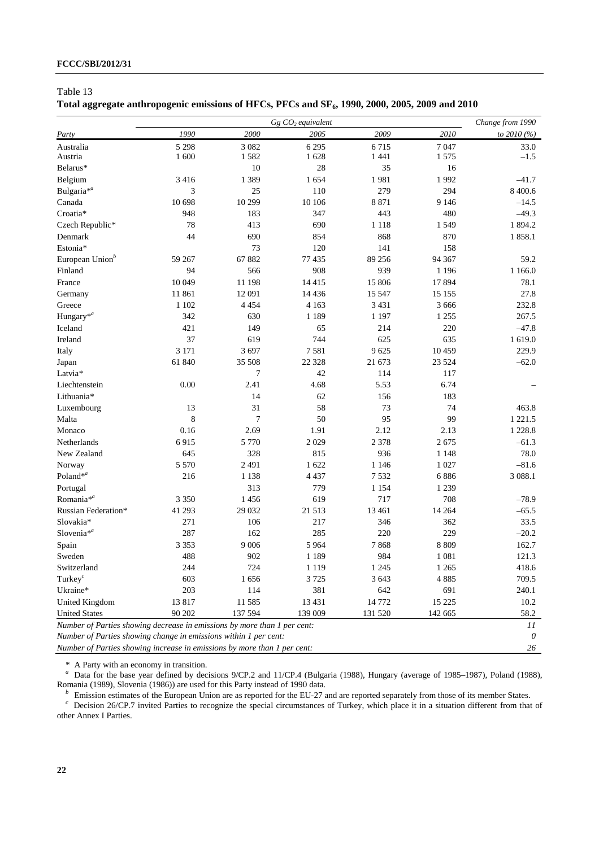## Total aggregate anthropogenic emissions of HFCs, PFCs and SF<sub>6</sub>, 1990, 2000, 2005, 2009 and 2010

|                                                                          |         | Change from 1990 |         |         |         |             |
|--------------------------------------------------------------------------|---------|------------------|---------|---------|---------|-------------|
| Party                                                                    | 1990    | 2000             | 2005    | 2009    | 2010    | to 2010 (%) |
| Australia                                                                | 5 2 9 8 | 3 0 8 2          | 6 2 9 5 | 6715    | 7047    | 33.0        |
| Austria                                                                  | 1 600   | 1582             | 1628    | 1 4 4 1 | 1575    | $-1.5$      |
| Belarus*                                                                 |         | 10               | 28      | 35      | 16      |             |
| Belgium                                                                  | 3416    | 1 3 8 9          | 1654    | 1981    | 1992    | $-41.7$     |
| Bulgaria <sup>*a</sup>                                                   | 3       | 25               | 110     | 279     | 294     | 8 400.6     |
| Canada                                                                   | 10 698  | 10 299           | 10 10 6 | 8 8 7 1 | 9 1 4 6 | $-14.5$     |
| Croatia*                                                                 | 948     | 183              | 347     | 443     | 480     | $-49.3$     |
| Czech Republic*                                                          | 78      | 413              | 690     | 1 1 1 8 | 1 5 4 9 | 1894.2      |
| Denmark                                                                  | 44      | 690              | 854     | 868     | 870     | 1858.1      |
| Estonia*                                                                 |         | 73               | 120     | 141     | 158     |             |
| European Union <sup>b</sup>                                              | 59 267  | 67882            | 77435   | 89 25 6 | 94 367  | 59.2        |
| Finland                                                                  | 94      | 566              | 908     | 939     | 1 1 9 6 | 1 1 6 6.0   |
| France                                                                   | 10 049  | 11 198           | 14415   | 15 806  | 17894   | 78.1        |
| Germany                                                                  | 11861   | 12 091           | 14 4 36 | 15 5 47 | 15 15 5 | 27.8        |
| Greece                                                                   | 1 1 0 2 | 4 4 5 4          | 4 1 6 3 | 3 4 3 1 | 3 6 6 6 | 232.8       |
| Hungary <sup>*a</sup>                                                    | 342     | 630              | 1 1 8 9 | 1 1 9 7 | 1 2 5 5 | 267.5       |
| Iceland                                                                  | 421     | 149              | 65      | 214     | 220     | $-47.8$     |
| Ireland                                                                  | 37      | 619              | 744     | 625     | 635     | 1 619.0     |
| Italy                                                                    | 3 1 7 1 | 3 697            | 7581    | 9625    | 10 459  | 229.9       |
| Japan                                                                    | 61 840  | 35 508           | 22 3 28 | 21 673  | 23 5 24 | $-62.0$     |
| Latvia*                                                                  |         | 7                | 42      | 114     | 117     |             |
| Liechtenstein                                                            | 0.00    | 2.41             | 4.68    | 5.53    | 6.74    |             |
| Lithuania*                                                               |         | 14               | 62      | 156     | 183     |             |
| Luxembourg                                                               | 13      | 31               | 58      | 73      | 74      | 463.8       |
| Malta                                                                    | 8       | $\tau$           | 50      | 95      | 99      | 1 2 2 1 .5  |
| Monaco                                                                   | 0.16    | 2.69             | 1.91    | 2.12    | 2.13    | 1 2 2 8 . 8 |
| Netherlands                                                              | 6915    | 5 7 7 0          | 2029    | 2 3 7 8 | 2675    | $-61.3$     |
| New Zealand                                                              | 645     | 328              | 815     | 936     | 1 1 4 8 | 78.0        |
| Norway                                                                   | 5 5 7 0 | 2 4 9 1          | 1622    | 1 1 4 6 | 1 0 27  | $-81.6$     |
| Poland* <sup>a</sup>                                                     | 216     | 1 1 3 8          | 4 4 3 7 | 7 5 3 2 | 6886    | 3 0 8 8.1   |
| Portugal                                                                 |         | 313              | 779     | 1 1 5 4 | 1 2 3 9 |             |
| Romania <sup>*a</sup>                                                    | 3 3 5 0 | 1456             | 619     | 717     | 708     | $-78.9$     |
| Russian Federation*                                                      | 41 293  | 29 032           | 21 513  | 13 4 61 | 14 2 64 | $-65.5$     |
| Slovakia*                                                                | 271     | 106              | 217     | 346     | 362     | 33.5        |
| Slovenia $*^a$                                                           | 287     | 162              | 285     | 220     | 229     | $-20.2$     |
| Spain                                                                    | 3 3 5 3 | 9 0 0 6          | 5 9 6 4 | 7868    | 8 8 0 9 | 162.7       |
| Sweden                                                                   | 488     | 902              | 1 1 8 9 | 984     | 1 0 8 1 | 121.3       |
| Switzerland                                                              | 244     | 724              | 1 1 1 9 | 1 2 4 5 | 1 2 6 5 | 418.6       |
| Turkey $^c$                                                              | 603     | 1656             | 3725    | 3 6 4 3 | 4885    | 709.5       |
| Ukraine*                                                                 | 203     | 114              | 381     | 642     | 691     | 240.1       |
| United Kingdom                                                           | 13817   | 11 585           | 13 4 31 | 14772   | 15 2 25 | 10.2        |
| <b>United States</b>                                                     | 90 202  | 137 594          | 139 009 | 131 520 | 142 665 | 58.2        |
| Number of Parties showing decrease in emissions by more than 1 per cent: |         |                  |         |         |         | 11          |
| Number of Parties showing change in emissions within 1 per cent:         |         |                  |         |         |         | $\theta$    |
| Number of Parties showing increase in emissions by more than 1 per cent: |         |                  |         |         |         | 26          |

\* A Party with an economy in transition. *a* Data for the base year defined by decisions 9/CP.2 and 11/CP.4 (Bulgaria (1988), Hungary (average of 1985–1987), Poland (1988),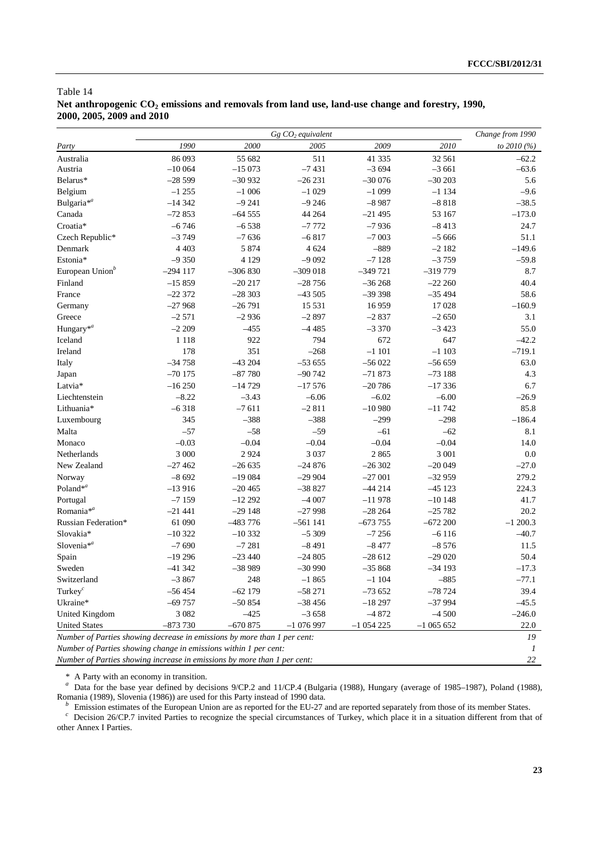## Table 14 Net anthropogenic  $CO_2$  emissions and removals from land use, land-use change and forestry, 1990, **2000, 2005, 2009 and 2010**

|                                                                          |           | Change from 1990 |            |            |            |             |
|--------------------------------------------------------------------------|-----------|------------------|------------|------------|------------|-------------|
| Party                                                                    | 1990      | 2000             | 2005       | 2009       | 2010       | to 2010 (%) |
| Australia                                                                | 86 093    | 55 682           | 511        | 41 3 35    | 32 561     | $-62.2$     |
| Austria                                                                  | $-10064$  | $-15073$         | $-7431$    | $-3694$    | $-3661$    | $-63.6$     |
| Belarus*                                                                 | $-28599$  | $-30932$         | $-26231$   | $-30076$   | $-30203$   | 5.6         |
| Belgium                                                                  | $-1255$   | $-1006$          | $-1029$    | $-1099$    | $-1134$    | $-9.6$      |
| Bulgaria <sup>*a</sup>                                                   | $-14342$  | $-9241$          | $-9246$    | $-8987$    | $-8818$    | $-38.5$     |
| Canada                                                                   | $-72853$  | $-64555$         | 44 264     | $-21495$   | 53 167     | $-173.0$    |
| Croatia*                                                                 | $-6746$   | $-6538$          | $-7772$    | $-7936$    | $-8413$    | 24.7        |
| Czech Republic*                                                          | $-3749$   | $-7636$          | $-6817$    | $-7003$    | $-5666$    | 51.1        |
| Denmark                                                                  | 4 4 0 3   | 5 8 7 4          | 4 6 24     | $-889$     | $-2182$    | $-149.6$    |
| Estonia*                                                                 | $-9350$   | 4 1 2 9          | $-9092$    | $-7128$    | $-3759$    | $-59.8$     |
| European Union <sup>b</sup>                                              | $-294117$ | $-306830$        | $-309018$  | $-349721$  | $-319779$  | 8.7         |
| Finland                                                                  | $-15859$  | $-20217$         | $-28756$   | $-36268$   | $-2220$    | 40.4        |
| France                                                                   | $-22372$  | $-28303$         | $-43505$   | $-39398$   | $-35494$   | 58.6        |
| Germany                                                                  | $-27968$  | $-26791$         | 15 5 31    | 16959      | 17028      | $-160.9$    |
| Greece                                                                   | $-2571$   | $-2936$          | $-2897$    | $-2837$    | $-2650$    | 3.1         |
| Hungary <sup>*a</sup>                                                    | $-2209$   | $-455$           | $-4485$    | $-3370$    | $-3423$    | 55.0        |
| Iceland                                                                  | 1 1 1 8   | 922              | 794        | 672        | 647        | $-42.2$     |
| Ireland                                                                  | 178       | 351              | $-268$     | $-1101$    | $-1103$    | $-719.1$    |
| Italy                                                                    | $-34758$  | $-43204$         | $-53655$   | $-56022$   | $-56659$   | 63.0        |
| Japan                                                                    | $-70175$  | $-87780$         | $-90742$   | $-71873$   | $-73188$   | 4.3         |
| Latvia*                                                                  | $-16250$  | $-14729$         | $-17576$   | $-20786$   | $-17336$   | 6.7         |
| Liechtenstein                                                            | $-8.22$   | $-3.43$          | $-6.06$    | $-6.02$    | $-6.00$    | $-26.9$     |
| Lithuania*                                                               | $-6318$   | $-7611$          | $-2811$    | $-10980$   | $-11742$   | 85.8        |
| Luxembourg                                                               | 345       | $-388$           | $-388$     | $-299$     | $-298$     | $-186.4$    |
| Malta                                                                    | $-57$     | $-58$            | $-59$      | $-61$      | $-62$      | 8.1         |
| Monaco                                                                   | $-0.03$   | $-0.04$          | $-0.04$    | $-0.04$    | $-0.04$    | 14.0        |
| Netherlands                                                              | 3 000     | 2924             | 3 0 3 7    | 2 8 6 5    | 3 0 0 1    | 0.0         |
| New Zealand                                                              | $-27462$  | $-26635$         | $-24876$   | $-26302$   | $-20049$   | $-27.0$     |
| Norway                                                                   | $-8692$   | $-19084$         | $-29904$   | $-27001$   | $-32959$   | 279.2       |
| Poland* $a$                                                              | $-13916$  | $-20465$         | $-38827$   | $-44214$   | $-45123$   | 224.3       |
| Portugal                                                                 | $-7159$   | $-12222$         | $-4007$    | $-11978$   | $-10148$   | 41.7        |
| Romania <sup>*a</sup>                                                    | $-21441$  | $-29148$         | $-27998$   | $-28264$   | $-25782$   | 20.2        |
| Russian Federation*                                                      | 61 090    | $-483776$        | $-561141$  | $-673755$  | $-672200$  | $-1200.3$   |
| Slovakia*                                                                | $-10322$  | $-10332$         | $-5309$    | $-7256$    | $-6116$    | $-40.7$     |
| Slovenia <sup>*a</sup>                                                   | $-7690$   | $-7281$          | $-8491$    | $-8477$    | $-8576$    | 11.5        |
| Spain                                                                    | $-19296$  | $-23440$         | $-24805$   | $-28612$   | $-29020$   | 50.4        |
| Sweden                                                                   | $-41342$  | $-38989$         | $-30990$   | $-35868$   | $-34193$   | $-17.3$     |
| Switzerland                                                              | $-3867$   | 248              | $-1865$    | $-1104$    | $-885$     | $-77.1$     |
| Turkey $^c$                                                              | –56 454   | $-62$ 179        | $-58271$   | $-73652$   | $-78724$   | 39.4        |
| Ukraine*                                                                 | $-69757$  | $-50854$         | $-38456$   | $-18297$   | $-37994$   | $-45.5$     |
| United Kingdom                                                           | 3 0 8 2   | $-425$           | $-3658$    | $-4872$    | $-4500$    | $-246.0$    |
| <b>United States</b>                                                     | $-873730$ | $-670875$        | $-1076997$ | $-1054225$ | $-1065652$ | 22.0        |
| Number of Parties showing decrease in emissions by more than 1 per cent: |           |                  |            |            |            | 19          |
| Number of Parties showing change in emissions within 1 per cent:         |           |                  |            |            |            |             |
| Number of Parties showing increase in emissions by more than 1 per cent: |           |                  |            |            |            | 22          |

\* A Party with an economy in transition. *a* Data for the base year defined by decisions 9/CP.2 and 11/CP.4 (Bulgaria (1988), Hungary (average of 1985–1987), Poland (1988),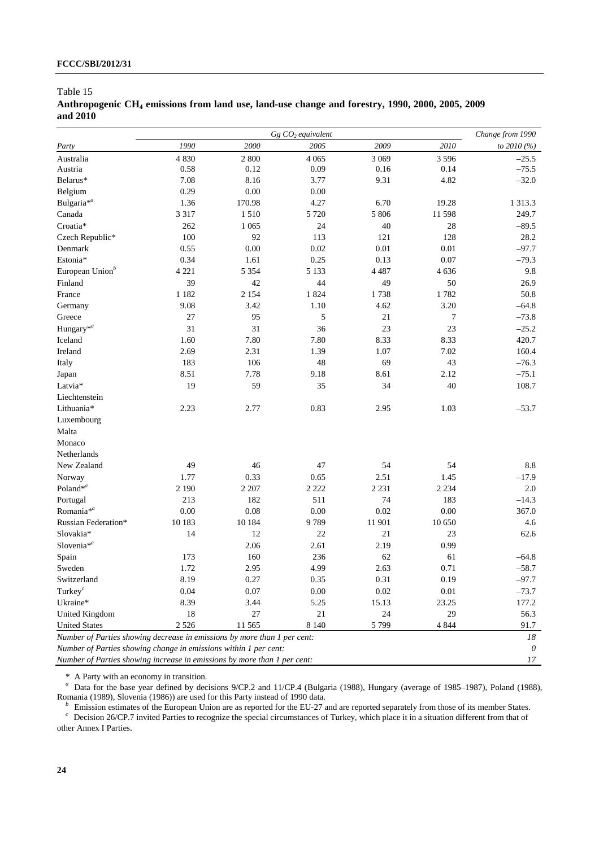## Anthropogenic CH<sub>4</sub> emissions from land use, land-use change and forestry, 1990, 2000, 2005, 2009 **and 2010**

|                                                                          |         | Change from 1990 |         |         |          |             |
|--------------------------------------------------------------------------|---------|------------------|---------|---------|----------|-------------|
| Party                                                                    | 1990    | 2000             | 2005    | 2009    | 2010     | to 2010 (%) |
| Australia                                                                | 4 8 3 0 | 2 800            | 4 0 6 5 | 3 0 6 9 | 3 5 9 6  | $-25.5$     |
| Austria                                                                  | 0.58    | 0.12             | 0.09    | 0.16    | 0.14     | $-75.5$     |
| Belarus*                                                                 | 7.08    | 8.16             | 3.77    | 9.31    | 4.82     | $-32.0$     |
| Belgium                                                                  | 0.29    | 0.00             | 0.00    |         |          |             |
| Bulgaria <sup>*a</sup>                                                   | 1.36    | 170.98           | 4.27    | 6.70    | 19.28    | 1 3 1 3 . 3 |
| Canada                                                                   | 3 3 1 7 | 1510             | 5 7 2 0 | 5 806   | 11 598   | 249.7       |
| Croatia*                                                                 | 262     | 1 0 6 5          | 24      | 40      | 28       | $-89.5$     |
| Czech Republic*                                                          | 100     | 92               | 113     | 121     | 128      | 28.2        |
| Denmark                                                                  | 0.55    | 0.00             | 0.02    | 0.01    | 0.01     | $-97.7$     |
| Estonia*                                                                 | 0.34    | 1.61             | 0.25    | 0.13    | 0.07     | $-79.3$     |
| European Union <sup>b</sup>                                              | 4 2 2 1 | 5 3 5 4          | 5 1 3 3 | 4 4 8 7 | 4636     | 9.8         |
| Finland                                                                  | 39      | 42               | 44      | 49      | 50       | 26.9        |
| France                                                                   | 1 1 8 2 | 2 1 5 4          | 1824    | 1738    | 1782     | 50.8        |
| Germany                                                                  | 9.08    | 3.42             | 1.10    | 4.62    | 3.20     | $-64.8$     |
| Greece                                                                   | 27      | 95               | 5       | 21      | 7        | $-73.8$     |
| Hungary <sup>*a</sup>                                                    | 31      | 31               | 36      | 23      | 23       | $-25.2$     |
| Iceland                                                                  | 1.60    | 7.80             | 7.80    | 8.33    | 8.33     | 420.7       |
| Ireland                                                                  | 2.69    | 2.31             | 1.39    | 1.07    | 7.02     | 160.4       |
| Italy                                                                    | 183     | 106              | 48      | 69      | 43       | $-76.3$     |
| Japan                                                                    | 8.51    | 7.78             | 9.18    | 8.61    | 2.12     | $-75.1$     |
| Latvia*                                                                  | 19      | 59               | 35      | 34      | 40       | 108.7       |
| Liechtenstein                                                            |         |                  |         |         |          |             |
| Lithuania*                                                               | 2.23    | 2.77             | 0.83    | 2.95    | 1.03     | $-53.7$     |
| Luxembourg                                                               |         |                  |         |         |          |             |
| Malta                                                                    |         |                  |         |         |          |             |
| Monaco                                                                   |         |                  |         |         |          |             |
| Netherlands                                                              |         |                  |         |         |          |             |
| New Zealand                                                              | 49      | 46               | 47      | 54      | 54       | 8.8         |
| Norway                                                                   | 1.77    | 0.33             | 0.65    | 2.51    | 1.45     | $-17.9$     |
| Poland* $a$                                                              | 2 1 9 0 | 2 2 0 7          | 2 2 2 2 | 2 2 3 1 | 2 2 3 4  | 2.0         |
| Portugal                                                                 | 213     | 182              | 511     | 74      | 183      | $-14.3$     |
| Romania <sup>*a</sup>                                                    | 0.00    | 0.08             | 0.00    | 0.02    | $0.00\,$ | 367.0       |
| Russian Federation*                                                      | 10 183  | 10 184           | 9789    | 11 901  | 10 650   | 4.6         |
| Slovakia*                                                                | 14      | 12               | 22      | 21      | 23       | 62.6        |
| Slovenia $*^a$                                                           |         | 2.06             | 2.61    | 2.19    | 0.99     |             |
| Spain                                                                    | 173     | 160              | 236     | 62      | 61       | $-64.8$     |
| Sweden                                                                   | 1.72    | 2.95             | 4.99    | 2.63    | 0.71     | $-58.7$     |
| Switzerland                                                              | 8.19    | 0.27             | 0.35    | 0.31    | 0.19     | $-97.7$     |
| Turkey $^c$                                                              | 0.04    | 0.07             | 0.00    | 0.02    | 0.01     | $-73.7$     |
| Ukraine*                                                                 | 8.39    | 3.44             | 5.25    | 15.13   | 23.25    | 177.2       |
| United Kingdom                                                           | 18      | $27\,$           | 21      | 24      | 29       | 56.3        |
| <b>United States</b>                                                     | 2 5 2 6 | 11 5 65          | 8 1 4 0 | 5 7 9 9 | 4 8 4 4  | 91.7        |
| Number of Parties showing decrease in emissions by more than 1 per cent: |         |                  |         |         |          | 18          |
| Number of Parties showing change in emissions within 1 per cent:         |         |                  |         |         |          | 0           |
| Number of Parties showing increase in emissions by more than 1 per cent: |         |                  |         |         |          | $17\,$      |

\* A Party with an economy in transition. *a* Data for the base year defined by decisions 9/CP.2 and 11/CP.4 (Bulgaria (1988), Hungary (average of 1985–1987), Poland (1988),

 $\frac{b}{c}$  Emission estimates of the European Union are as reported for the EU-27 and are reported separately from those of its member States.<br>  $\frac{c}{c}$  Decision 26/CP.7 invited Parties to recognize the special circumstan

other Annex I Parties.